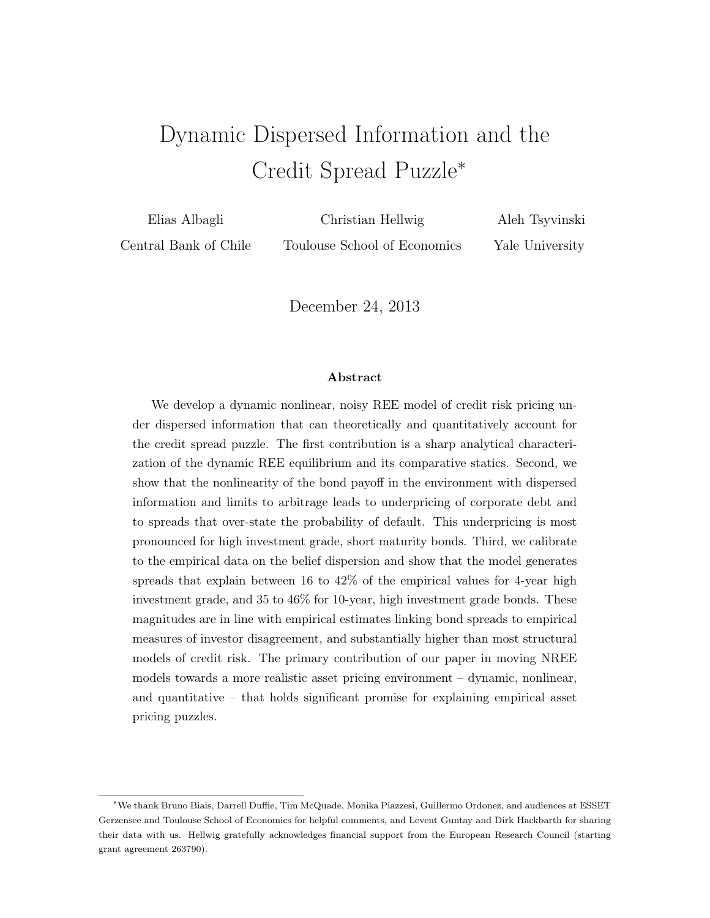# Dynamic Dispersed Information and the Credit Spread Puzzle<sup>∗</sup>

Elias Albagli Central Bank of Chile Christian Hellwig Toulouse School of Economics Aleh Tsyvinski Yale University

December 24, 2013

#### Abstract

We develop a dynamic nonlinear, noisy REE model of credit risk pricing under dispersed information that can theoretically and quantitatively account for the credit spread puzzle. The first contribution is a sharp analytical characterization of the dynamic REE equilibrium and its comparative statics. Second, we show that the nonlinearity of the bond payoff in the environment with dispersed information and limits to arbitrage leads to underpricing of corporate debt and to spreads that over-state the probability of default. This underpricing is most pronounced for high investment grade, short maturity bonds. Third, we calibrate to the empirical data on the belief dispersion and show that the model generates spreads that explain between 16 to 42% of the empirical values for 4-year high investment grade, and 35 to 46% for 10-year, high investment grade bonds. These magnitudes are in line with empirical estimates linking bond spreads to empirical measures of investor disagreement, and substantially higher than most structural models of credit risk. The primary contribution of our paper in moving NREE models towards a more realistic asset pricing environment – dynamic, nonlinear, and quantitative – that holds significant promise for explaining empirical asset pricing puzzles.

<sup>∗</sup>We thank Bruno Biais, Darrell Duffie, Tim McQuade, Monika Piazzesi, Guillermo Ordonez, and audiences at ESSET Gerzensee and Toulouse School of Economics for helpful comments, and Levent Guntay and Dirk Hackbarth for sharing their data with us. Hellwig gratefully acknowledges financial support from the European Research Council (starting grant agreement 263790).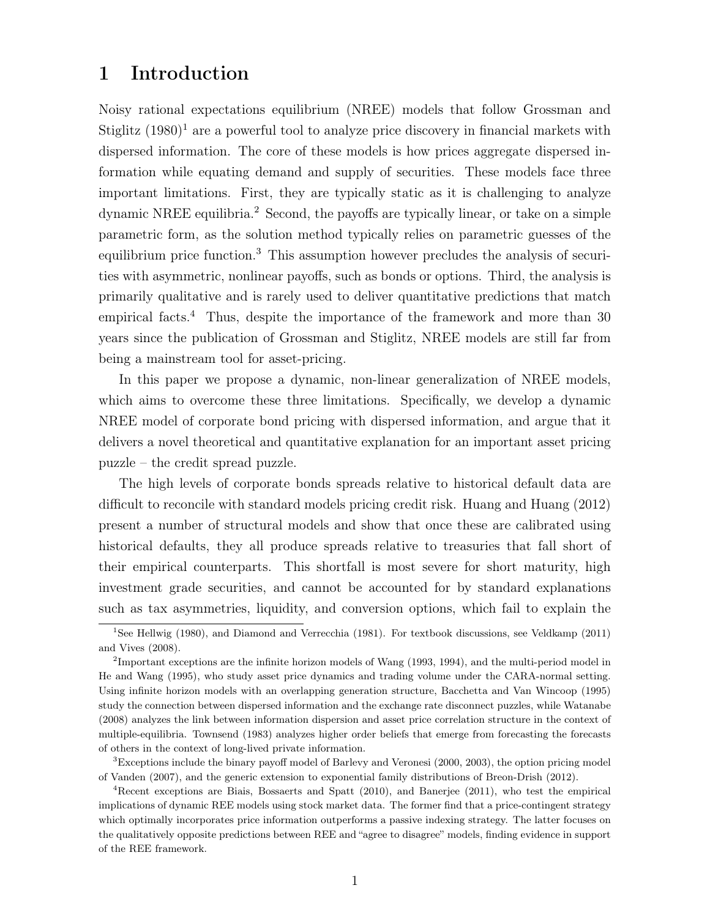# 1 Introduction

Noisy rational expectations equilibrium (NREE) models that follow Grossman and Stiglitz  $(1980)^1$  are a powerful tool to analyze price discovery in financial markets with dispersed information. The core of these models is how prices aggregate dispersed information while equating demand and supply of securities. These models face three important limitations. First, they are typically static as it is challenging to analyze dynamic NREE equilibria.<sup>2</sup> Second, the payoffs are typically linear, or take on a simple parametric form, as the solution method typically relies on parametric guesses of the equilibrium price function.<sup>3</sup> This assumption however precludes the analysis of securities with asymmetric, nonlinear payoffs, such as bonds or options. Third, the analysis is primarily qualitative and is rarely used to deliver quantitative predictions that match empirical facts.<sup>4</sup> Thus, despite the importance of the framework and more than 30 years since the publication of Grossman and Stiglitz, NREE models are still far from being a mainstream tool for asset-pricing.

In this paper we propose a dynamic, non-linear generalization of NREE models, which aims to overcome these three limitations. Specifically, we develop a dynamic NREE model of corporate bond pricing with dispersed information, and argue that it delivers a novel theoretical and quantitative explanation for an important asset pricing puzzle – the credit spread puzzle.

The high levels of corporate bonds spreads relative to historical default data are difficult to reconcile with standard models pricing credit risk. Huang and Huang (2012) present a number of structural models and show that once these are calibrated using historical defaults, they all produce spreads relative to treasuries that fall short of their empirical counterparts. This shortfall is most severe for short maturity, high investment grade securities, and cannot be accounted for by standard explanations such as tax asymmetries, liquidity, and conversion options, which fail to explain the

<sup>3</sup>Exceptions include the binary payoff model of Barlevy and Veronesi (2000, 2003), the option pricing model of Vanden (2007), and the generic extension to exponential family distributions of Breon-Drish (2012).

<sup>&</sup>lt;sup>1</sup>See Hellwig (1980), and Diamond and Verrecchia (1981). For textbook discussions, see Veldkamp (2011) and Vives (2008).

<sup>&</sup>lt;sup>2</sup>Important exceptions are the infinite horizon models of Wang (1993, 1994), and the multi-period model in He and Wang (1995), who study asset price dynamics and trading volume under the CARA-normal setting. Using infinite horizon models with an overlapping generation structure, Bacchetta and Van Wincoop (1995) study the connection between dispersed information and the exchange rate disconnect puzzles, while Watanabe (2008) analyzes the link between information dispersion and asset price correlation structure in the context of multiple-equilibria. Townsend (1983) analyzes higher order beliefs that emerge from forecasting the forecasts of others in the context of long-lived private information.

<sup>4</sup>Recent exceptions are Biais, Bossaerts and Spatt (2010), and Banerjee (2011), who test the empirical implications of dynamic REE models using stock market data. The former find that a price-contingent strategy which optimally incorporates price information outperforms a passive indexing strategy. The latter focuses on the qualitatively opposite predictions between REE and "agree to disagree" models, finding evidence in support of the REE framework.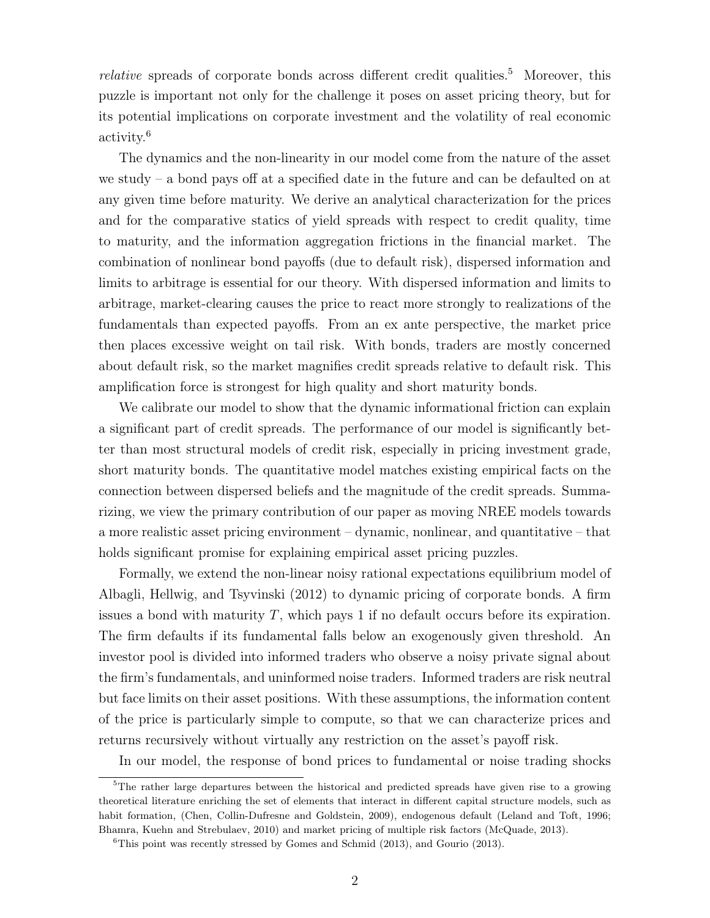*relative* spreads of corporate bonds across different credit qualities.<sup>5</sup> Moreover, this puzzle is important not only for the challenge it poses on asset pricing theory, but for its potential implications on corporate investment and the volatility of real economic activity.<sup>6</sup>

The dynamics and the non-linearity in our model come from the nature of the asset we study – a bond pays off at a specified date in the future and can be defaulted on at any given time before maturity. We derive an analytical characterization for the prices and for the comparative statics of yield spreads with respect to credit quality, time to maturity, and the information aggregation frictions in the financial market. The combination of nonlinear bond payoffs (due to default risk), dispersed information and limits to arbitrage is essential for our theory. With dispersed information and limits to arbitrage, market-clearing causes the price to react more strongly to realizations of the fundamentals than expected payoffs. From an ex ante perspective, the market price then places excessive weight on tail risk. With bonds, traders are mostly concerned about default risk, so the market magnifies credit spreads relative to default risk. This amplification force is strongest for high quality and short maturity bonds.

We calibrate our model to show that the dynamic informational friction can explain a significant part of credit spreads. The performance of our model is significantly better than most structural models of credit risk, especially in pricing investment grade, short maturity bonds. The quantitative model matches existing empirical facts on the connection between dispersed beliefs and the magnitude of the credit spreads. Summarizing, we view the primary contribution of our paper as moving NREE models towards a more realistic asset pricing environment – dynamic, nonlinear, and quantitative – that holds significant promise for explaining empirical asset pricing puzzles.

Formally, we extend the non-linear noisy rational expectations equilibrium model of Albagli, Hellwig, and Tsyvinski (2012) to dynamic pricing of corporate bonds. A firm issues a bond with maturity  $T$ , which pays 1 if no default occurs before its expiration. The firm defaults if its fundamental falls below an exogenously given threshold. An investor pool is divided into informed traders who observe a noisy private signal about the firm's fundamentals, and uninformed noise traders. Informed traders are risk neutral but face limits on their asset positions. With these assumptions, the information content of the price is particularly simple to compute, so that we can characterize prices and returns recursively without virtually any restriction on the asset's payoff risk.

In our model, the response of bond prices to fundamental or noise trading shocks

<sup>&</sup>lt;sup>5</sup>The rather large departures between the historical and predicted spreads have given rise to a growing theoretical literature enriching the set of elements that interact in different capital structure models, such as habit formation, (Chen, Collin-Dufresne and Goldstein, 2009), endogenous default (Leland and Toft, 1996; Bhamra, Kuehn and Strebulaev, 2010) and market pricing of multiple risk factors (McQuade, 2013).

 ${}^{6}$ This point was recently stressed by Gomes and Schmid (2013), and Gourio (2013).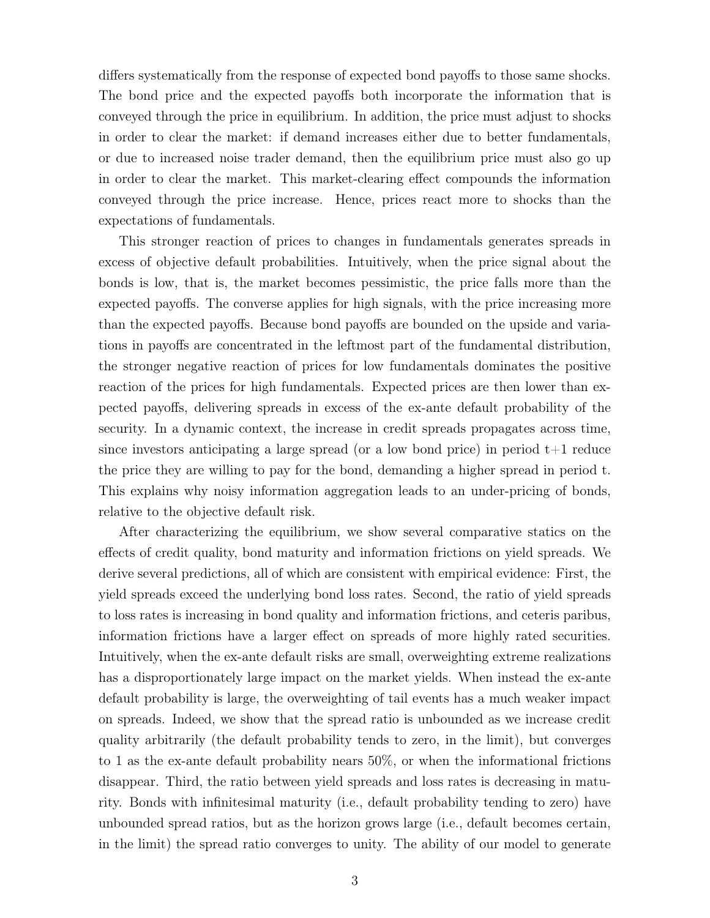differs systematically from the response of expected bond payoffs to those same shocks. The bond price and the expected payoffs both incorporate the information that is conveyed through the price in equilibrium. In addition, the price must adjust to shocks in order to clear the market: if demand increases either due to better fundamentals, or due to increased noise trader demand, then the equilibrium price must also go up in order to clear the market. This market-clearing effect compounds the information conveyed through the price increase. Hence, prices react more to shocks than the expectations of fundamentals.

This stronger reaction of prices to changes in fundamentals generates spreads in excess of objective default probabilities. Intuitively, when the price signal about the bonds is low, that is, the market becomes pessimistic, the price falls more than the expected payoffs. The converse applies for high signals, with the price increasing more than the expected payoffs. Because bond payoffs are bounded on the upside and variations in payoffs are concentrated in the leftmost part of the fundamental distribution, the stronger negative reaction of prices for low fundamentals dominates the positive reaction of the prices for high fundamentals. Expected prices are then lower than expected payoffs, delivering spreads in excess of the ex-ante default probability of the security. In a dynamic context, the increase in credit spreads propagates across time, since investors anticipating a large spread (or a low bond price) in period  $t+1$  reduce the price they are willing to pay for the bond, demanding a higher spread in period t. This explains why noisy information aggregation leads to an under-pricing of bonds, relative to the objective default risk.

After characterizing the equilibrium, we show several comparative statics on the effects of credit quality, bond maturity and information frictions on yield spreads. We derive several predictions, all of which are consistent with empirical evidence: First, the yield spreads exceed the underlying bond loss rates. Second, the ratio of yield spreads to loss rates is increasing in bond quality and information frictions, and ceteris paribus, information frictions have a larger effect on spreads of more highly rated securities. Intuitively, when the ex-ante default risks are small, overweighting extreme realizations has a disproportionately large impact on the market yields. When instead the ex-ante default probability is large, the overweighting of tail events has a much weaker impact on spreads. Indeed, we show that the spread ratio is unbounded as we increase credit quality arbitrarily (the default probability tends to zero, in the limit), but converges to 1 as the ex-ante default probability nears 50%, or when the informational frictions disappear. Third, the ratio between yield spreads and loss rates is decreasing in maturity. Bonds with infinitesimal maturity (i.e., default probability tending to zero) have unbounded spread ratios, but as the horizon grows large (i.e., default becomes certain, in the limit) the spread ratio converges to unity. The ability of our model to generate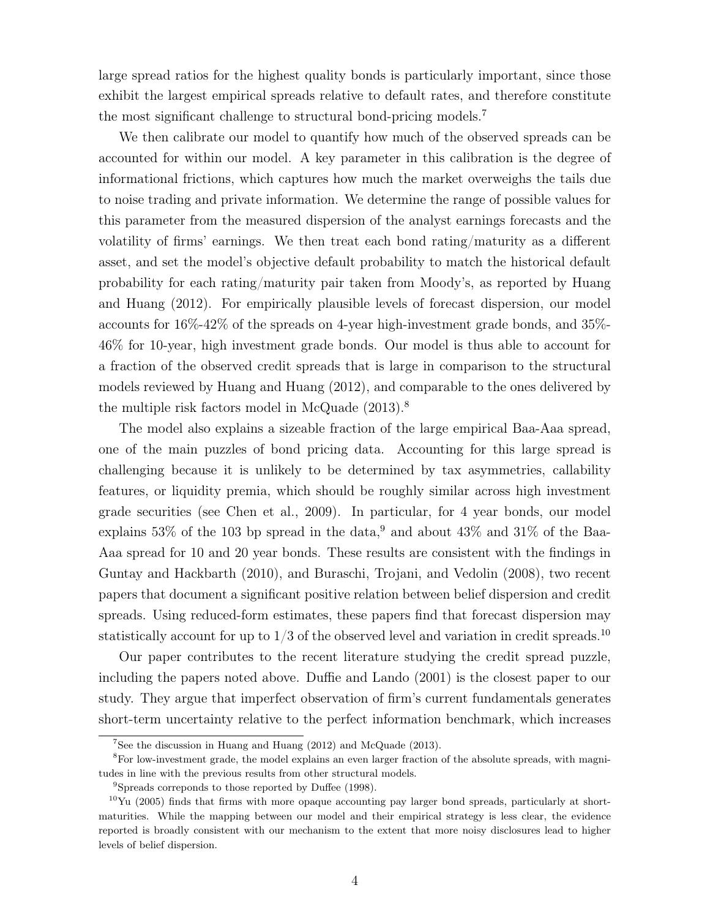large spread ratios for the highest quality bonds is particularly important, since those exhibit the largest empirical spreads relative to default rates, and therefore constitute the most significant challenge to structural bond-pricing models.<sup>7</sup>

We then calibrate our model to quantify how much of the observed spreads can be accounted for within our model. A key parameter in this calibration is the degree of informational frictions, which captures how much the market overweighs the tails due to noise trading and private information. We determine the range of possible values for this parameter from the measured dispersion of the analyst earnings forecasts and the volatility of firms' earnings. We then treat each bond rating/maturity as a different asset, and set the model's objective default probability to match the historical default probability for each rating/maturity pair taken from Moody's, as reported by Huang and Huang (2012). For empirically plausible levels of forecast dispersion, our model accounts for 16%-42% of the spreads on 4-year high-investment grade bonds, and 35%- 46% for 10-year, high investment grade bonds. Our model is thus able to account for a fraction of the observed credit spreads that is large in comparison to the structural models reviewed by Huang and Huang (2012), and comparable to the ones delivered by the multiple risk factors model in McQuade (2013).<sup>8</sup>

The model also explains a sizeable fraction of the large empirical Baa-Aaa spread, one of the main puzzles of bond pricing data. Accounting for this large spread is challenging because it is unlikely to be determined by tax asymmetries, callability features, or liquidity premia, which should be roughly similar across high investment grade securities (see Chen et al., 2009). In particular, for 4 year bonds, our model explains 53% of the 103 bp spread in the data,<sup>9</sup> and about  $43\%$  and  $31\%$  of the Baa-Aaa spread for 10 and 20 year bonds. These results are consistent with the findings in Guntay and Hackbarth (2010), and Buraschi, Trojani, and Vedolin (2008), two recent papers that document a significant positive relation between belief dispersion and credit spreads. Using reduced-form estimates, these papers find that forecast dispersion may statistically account for up to  $1/3$  of the observed level and variation in credit spreads.<sup>10</sup>

Our paper contributes to the recent literature studying the credit spread puzzle, including the papers noted above. Duffie and Lando (2001) is the closest paper to our study. They argue that imperfect observation of firm's current fundamentals generates short-term uncertainty relative to the perfect information benchmark, which increases

<sup>&</sup>lt;sup>7</sup>See the discussion in Huang and Huang  $(2012)$  and McQuade  $(2013)$ .

<sup>&</sup>lt;sup>8</sup>For low-investment grade, the model explains an even larger fraction of the absolute spreads, with magnitudes in line with the previous results from other structural models.

<sup>9</sup>Spreads correponds to those reported by Duffee (1998).

 $10$ Yu (2005) finds that firms with more opaque accounting pay larger bond spreads, particularly at shortmaturities. While the mapping between our model and their empirical strategy is less clear, the evidence reported is broadly consistent with our mechanism to the extent that more noisy disclosures lead to higher levels of belief dispersion.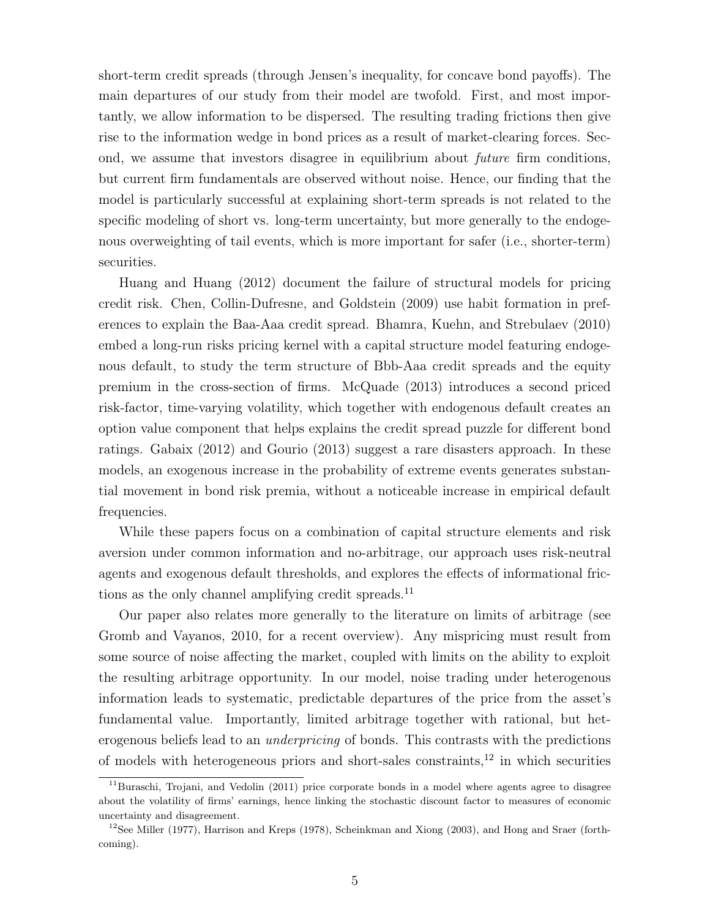short-term credit spreads (through Jensen's inequality, for concave bond payoffs). The main departures of our study from their model are twofold. First, and most importantly, we allow information to be dispersed. The resulting trading frictions then give rise to the information wedge in bond prices as a result of market-clearing forces. Second, we assume that investors disagree in equilibrium about future firm conditions, but current firm fundamentals are observed without noise. Hence, our finding that the model is particularly successful at explaining short-term spreads is not related to the specific modeling of short vs. long-term uncertainty, but more generally to the endogenous overweighting of tail events, which is more important for safer (i.e., shorter-term) securities.

Huang and Huang (2012) document the failure of structural models for pricing credit risk. Chen, Collin-Dufresne, and Goldstein (2009) use habit formation in preferences to explain the Baa-Aaa credit spread. Bhamra, Kuehn, and Strebulaev (2010) embed a long-run risks pricing kernel with a capital structure model featuring endogenous default, to study the term structure of Bbb-Aaa credit spreads and the equity premium in the cross-section of firms. McQuade (2013) introduces a second priced risk-factor, time-varying volatility, which together with endogenous default creates an option value component that helps explains the credit spread puzzle for different bond ratings. Gabaix (2012) and Gourio (2013) suggest a rare disasters approach. In these models, an exogenous increase in the probability of extreme events generates substantial movement in bond risk premia, without a noticeable increase in empirical default frequencies.

While these papers focus on a combination of capital structure elements and risk aversion under common information and no-arbitrage, our approach uses risk-neutral agents and exogenous default thresholds, and explores the effects of informational frictions as the only channel amplifying credit spreads.<sup>11</sup>

Our paper also relates more generally to the literature on limits of arbitrage (see Gromb and Vayanos, 2010, for a recent overview). Any mispricing must result from some source of noise affecting the market, coupled with limits on the ability to exploit the resulting arbitrage opportunity. In our model, noise trading under heterogenous information leads to systematic, predictable departures of the price from the asset's fundamental value. Importantly, limited arbitrage together with rational, but heterogenous beliefs lead to an *underpricing* of bonds. This contrasts with the predictions of models with heterogeneous priors and short-sales constraints, $^{12}$  in which securities

 $11$ Buraschi, Trojani, and Vedolin (2011) price corporate bonds in a model where agents agree to disagree about the volatility of firms' earnings, hence linking the stochastic discount factor to measures of economic uncertainty and disagreement.

<sup>&</sup>lt;sup>12</sup>See Miller (1977), Harrison and Kreps (1978), Scheinkman and Xiong (2003), and Hong and Sraer (forthcoming).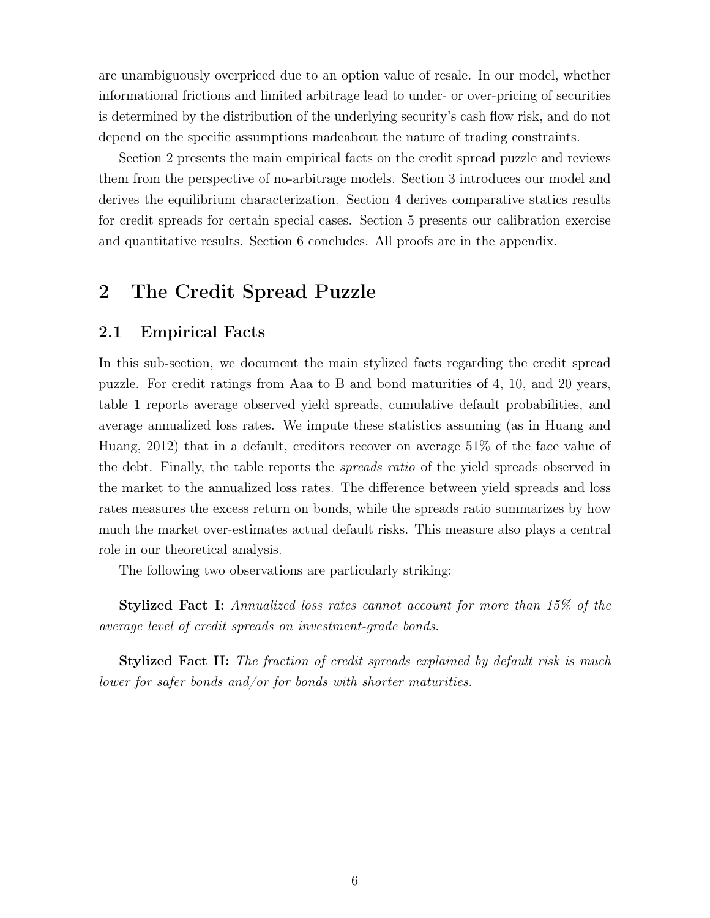are unambiguously overpriced due to an option value of resale. In our model, whether informational frictions and limited arbitrage lead to under- or over-pricing of securities is determined by the distribution of the underlying security's cash flow risk, and do not depend on the specific assumptions madeabout the nature of trading constraints.

Section 2 presents the main empirical facts on the credit spread puzzle and reviews them from the perspective of no-arbitrage models. Section 3 introduces our model and derives the equilibrium characterization. Section 4 derives comparative statics results for credit spreads for certain special cases. Section 5 presents our calibration exercise and quantitative results. Section 6 concludes. All proofs are in the appendix.

# 2 The Credit Spread Puzzle

### 2.1 Empirical Facts

In this sub-section, we document the main stylized facts regarding the credit spread puzzle. For credit ratings from Aaa to B and bond maturities of 4, 10, and 20 years, table 1 reports average observed yield spreads, cumulative default probabilities, and average annualized loss rates. We impute these statistics assuming (as in Huang and Huang, 2012) that in a default, creditors recover on average 51% of the face value of the debt. Finally, the table reports the *spreads ratio* of the yield spreads observed in the market to the annualized loss rates. The difference between yield spreads and loss rates measures the excess return on bonds, while the spreads ratio summarizes by how much the market over-estimates actual default risks. This measure also plays a central role in our theoretical analysis.

The following two observations are particularly striking:

Stylized Fact I: Annualized loss rates cannot account for more than 15% of the average level of credit spreads on investment-grade bonds.

Stylized Fact II: The fraction of credit spreads explained by default risk is much lower for safer bonds and/or for bonds with shorter maturities.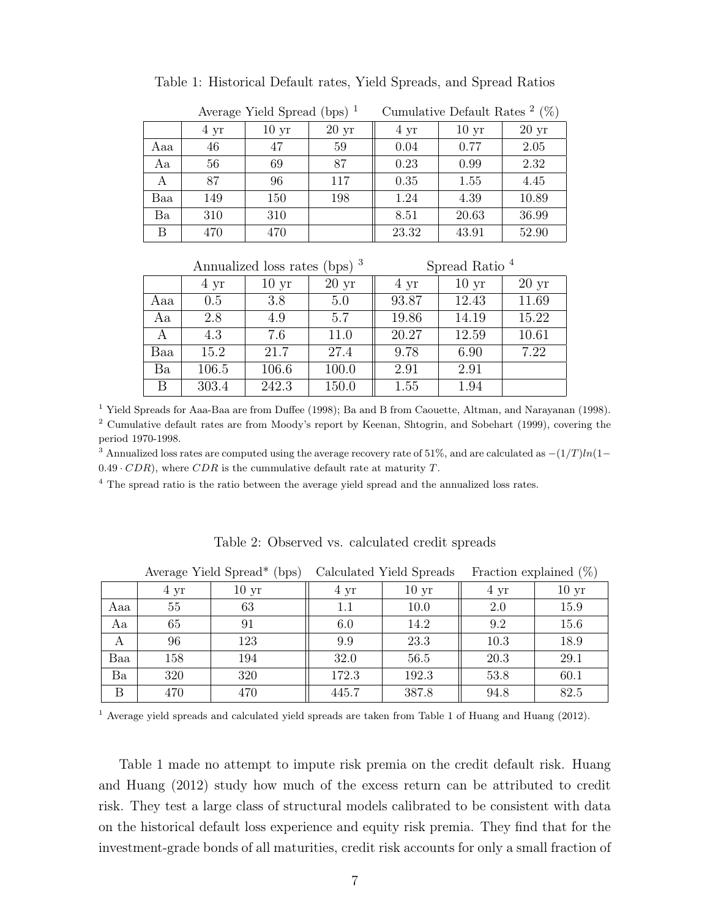|     |      | Average Yield Spread (bps) $1$ |                  | Cumulative Default Rates $2$ (%) |                  |                  |  |  |  |
|-----|------|--------------------------------|------------------|----------------------------------|------------------|------------------|--|--|--|
|     | 4 yr | 10 <sub>yr</sub>               | 20 <sub>yr</sub> | 4 yr                             | 10 <sub>yr</sub> | 20 <sub>yr</sub> |  |  |  |
| Aaa | 46   | 47                             | 59               | 0.04                             | 0.77             | 2.05             |  |  |  |
| Aa  | 56   | 69                             | 87               | 0.23                             | 0.99             | 2.32             |  |  |  |
| A   | 87   | 96                             | 117              | 0.35                             | 1.55             | 4.45             |  |  |  |
| Baa | 149  | 150                            | 198              | 1.24                             | 4.39             | 10.89            |  |  |  |
| Ba  | 310  | 310                            |                  | 8.51                             | 20.63            | 36.99            |  |  |  |
| B   | 470  | 470                            |                  | 23.32                            | 43.91            | 52.90            |  |  |  |

|     |       | Annualized loss rates (bps) <sup>3</sup> |                 | Spread Ratio <sup>4</sup> |                  |                 |  |  |  |
|-----|-------|------------------------------------------|-----------------|---------------------------|------------------|-----------------|--|--|--|
|     | 4 yr  | 10 <sub>yr</sub>                         | $20 \text{ yr}$ | 4 yr                      | 10 <sub>yr</sub> | $20 \text{ yr}$ |  |  |  |
| Aaa | 0.5   | 3.8                                      | 5.0             | 93.87                     | 12.43            | 11.69           |  |  |  |
| Aa  | 2.8   | 4.9                                      | 5.7             | 19.86                     | 14.19            | 15.22           |  |  |  |
| A   | 4.3   | 7.6                                      | 11.0            | 20.27                     | 12.59            | 10.61           |  |  |  |
| Baa | 15.2  | 21.7                                     | 27.4            | 9.78                      | 6.90             | 7.22            |  |  |  |
| Ba  | 106.5 | 106.6                                    | 100.0           | 2.91                      | 2.91             |                 |  |  |  |
| B   | 303.4 | 242.3                                    | 150.0           | 1.55                      | 1.94             |                 |  |  |  |

<sup>1</sup> Yield Spreads for Aaa-Baa are from Duffee (1998); Ba and B from Caouette, Altman, and Narayanan (1998). <sup>2</sup> Cumulative default rates are from Moody's report by Keenan, Shtogrin, and Sobehart (1999), covering the period 1970-1998.

<sup>3</sup> Annualized loss rates are computed using the average recovery rate of 51%, and are calculated as  $-(1/T)ln(1 0.49 \cdot CDR$ , where  $CDR$  is the cummulative default rate at maturity T.

<sup>4</sup> The spread ratio is the ratio between the average yield spread and the annualized loss rates.

|     |      | Average Yield Spread* (bps) |         | Calculated Yield Spreads | Fraction explained $(\%)$ |                  |  |  |
|-----|------|-----------------------------|---------|--------------------------|---------------------------|------------------|--|--|
|     | 4 yr | 10 <sub>yr</sub>            | 4 yr    | 10 <sub>yr</sub>         | 4 yr                      | 10 <sub>yr</sub> |  |  |
| Aaa | 55   | 63                          | $1.1\,$ | 10.0                     | 2.0                       | 15.9             |  |  |
| Aa  | 65   | 91                          | 6.0     | 14.2                     | 9.2                       | 15.6             |  |  |
| A   | 96   | 123                         | 9.9     | 23.3                     | 10.3                      | 18.9             |  |  |
| Baa | 158  | 194                         | 32.0    | 56.5                     | 20.3                      | 29.1             |  |  |
| Ba  | 320  | 320                         | 172.3   | 192.3                    | 53.8                      | 60.1             |  |  |
| Β   | 470  | 470                         | 445.7   | 387.8                    | 94.8                      | 82.5             |  |  |

Table 2: Observed vs. calculated credit spreads

<sup>1</sup> Average yield spreads and calculated yield spreads are taken from Table 1 of Huang and Huang (2012).

Table 1 made no attempt to impute risk premia on the credit default risk. Huang and Huang (2012) study how much of the excess return can be attributed to credit risk. They test a large class of structural models calibrated to be consistent with data on the historical default loss experience and equity risk premia. They find that for the investment-grade bonds of all maturities, credit risk accounts for only a small fraction of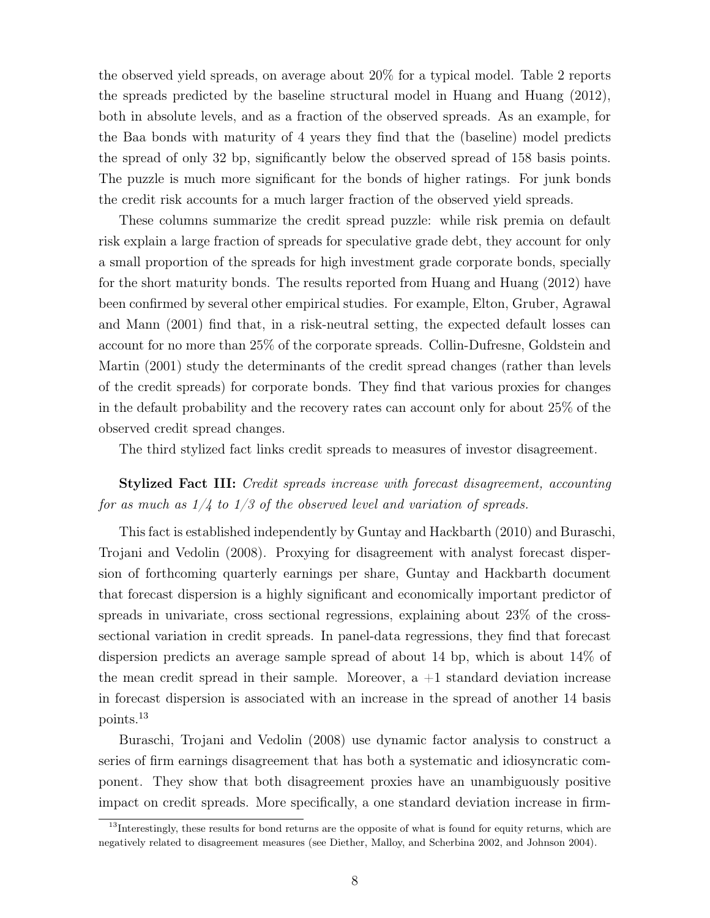the observed yield spreads, on average about 20% for a typical model. Table 2 reports the spreads predicted by the baseline structural model in Huang and Huang (2012), both in absolute levels, and as a fraction of the observed spreads. As an example, for the Baa bonds with maturity of 4 years they find that the (baseline) model predicts the spread of only 32 bp, significantly below the observed spread of 158 basis points. The puzzle is much more significant for the bonds of higher ratings. For junk bonds the credit risk accounts for a much larger fraction of the observed yield spreads.

These columns summarize the credit spread puzzle: while risk premia on default risk explain a large fraction of spreads for speculative grade debt, they account for only a small proportion of the spreads for high investment grade corporate bonds, specially for the short maturity bonds. The results reported from Huang and Huang (2012) have been confirmed by several other empirical studies. For example, Elton, Gruber, Agrawal and Mann (2001) find that, in a risk-neutral setting, the expected default losses can account for no more than 25% of the corporate spreads. Collin-Dufresne, Goldstein and Martin (2001) study the determinants of the credit spread changes (rather than levels of the credit spreads) for corporate bonds. They find that various proxies for changes in the default probability and the recovery rates can account only for about 25% of the observed credit spread changes.

The third stylized fact links credit spreads to measures of investor disagreement.

## Stylized Fact III: Credit spreads increase with forecast disagreement, accounting for as much as  $1/4$  to  $1/3$  of the observed level and variation of spreads.

This fact is established independently by Guntay and Hackbarth (2010) and Buraschi, Trojani and Vedolin (2008). Proxying for disagreement with analyst forecast dispersion of forthcoming quarterly earnings per share, Guntay and Hackbarth document that forecast dispersion is a highly significant and economically important predictor of spreads in univariate, cross sectional regressions, explaining about 23% of the crosssectional variation in credit spreads. In panel-data regressions, they find that forecast dispersion predicts an average sample spread of about 14 bp, which is about 14% of the mean credit spread in their sample. Moreover,  $a + 1$  standard deviation increase in forecast dispersion is associated with an increase in the spread of another 14 basis points.<sup>13</sup>

Buraschi, Trojani and Vedolin (2008) use dynamic factor analysis to construct a series of firm earnings disagreement that has both a systematic and idiosyncratic component. They show that both disagreement proxies have an unambiguously positive impact on credit spreads. More specifically, a one standard deviation increase in firm-

<sup>&</sup>lt;sup>13</sup>Interestingly, these results for bond returns are the opposite of what is found for equity returns, which are negatively related to disagreement measures (see Diether, Malloy, and Scherbina 2002, and Johnson 2004).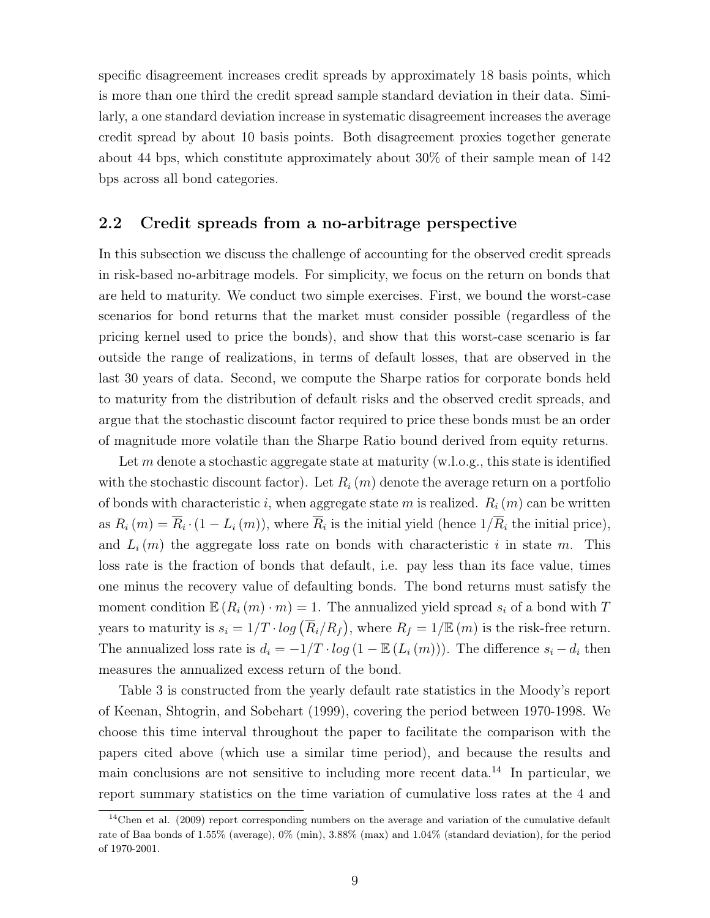specific disagreement increases credit spreads by approximately 18 basis points, which is more than one third the credit spread sample standard deviation in their data. Similarly, a one standard deviation increase in systematic disagreement increases the average credit spread by about 10 basis points. Both disagreement proxies together generate about 44 bps, which constitute approximately about 30% of their sample mean of 142 bps across all bond categories.

### 2.2 Credit spreads from a no-arbitrage perspective

In this subsection we discuss the challenge of accounting for the observed credit spreads in risk-based no-arbitrage models. For simplicity, we focus on the return on bonds that are held to maturity. We conduct two simple exercises. First, we bound the worst-case scenarios for bond returns that the market must consider possible (regardless of the pricing kernel used to price the bonds), and show that this worst-case scenario is far outside the range of realizations, in terms of default losses, that are observed in the last 30 years of data. Second, we compute the Sharpe ratios for corporate bonds held to maturity from the distribution of default risks and the observed credit spreads, and argue that the stochastic discount factor required to price these bonds must be an order of magnitude more volatile than the Sharpe Ratio bound derived from equity returns.

Let m denote a stochastic aggregate state at maturity (w.l.o.g., this state is identified with the stochastic discount factor). Let  $R_i(m)$  denote the average return on a portfolio of bonds with characteristic i, when aggregate state m is realized.  $R_i(m)$  can be written as  $R_i(m) = \overline{R_i \cdot (1 - L_i(m))}$ , where  $\overline{R_i}$  is the initial yield (hence  $1/\overline{R_i}$  the initial price), and  $L_i(m)$  the aggregate loss rate on bonds with characteristic i in state m. This loss rate is the fraction of bonds that default, i.e. pay less than its face value, times one minus the recovery value of defaulting bonds. The bond returns must satisfy the moment condition  $\mathbb{E} (R_i(m) \cdot m) = 1$ . The annualized yield spread  $s_i$  of a bond with T years to maturity is  $s_i = 1/T \cdot log(\overline{R}_i/R_f)$ , where  $R_f = 1/E(m)$  is the risk-free return. The annualized loss rate is  $d_i = -1/T \cdot log(1 - \mathbb{E}(L_i(m)))$ . The difference  $s_i - d_i$  then measures the annualized excess return of the bond.

Table 3 is constructed from the yearly default rate statistics in the Moody's report of Keenan, Shtogrin, and Sobehart (1999), covering the period between 1970-1998. We choose this time interval throughout the paper to facilitate the comparison with the papers cited above (which use a similar time period), and because the results and main conclusions are not sensitive to including more recent data.<sup>14</sup> In particular, we report summary statistics on the time variation of cumulative loss rates at the 4 and

 $14$ Chen et al. (2009) report corresponding numbers on the average and variation of the cumulative default rate of Baa bonds of 1.55% (average), 0% (min), 3.88% (max) and 1.04% (standard deviation), for the period of 1970-2001.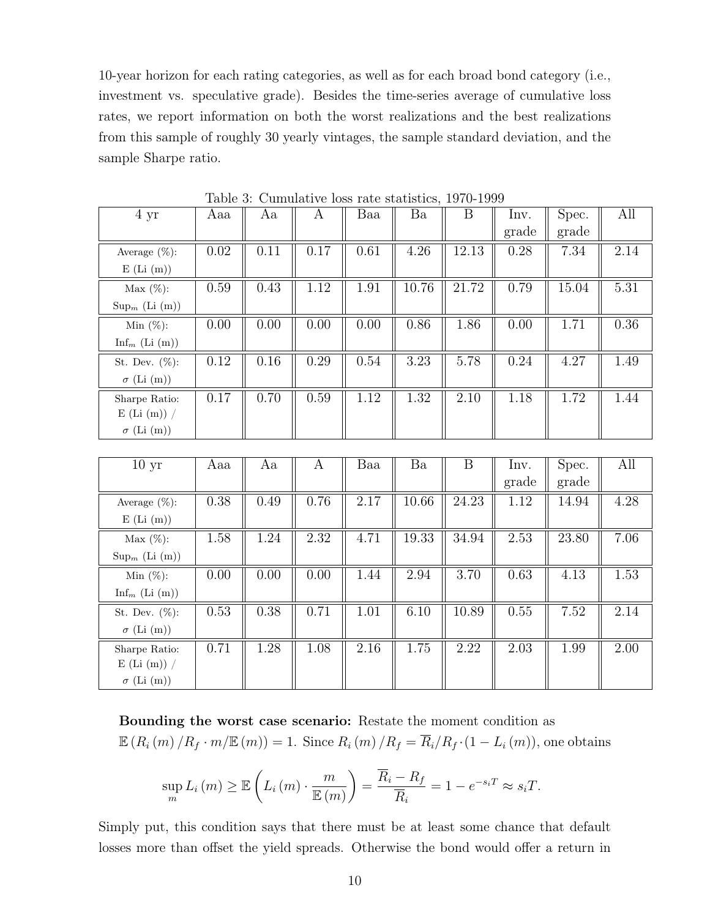10-year horizon for each rating categories, as well as for each broad bond category (i.e., investment vs. speculative grade). Besides the time-series average of cumulative loss rates, we report information on both the worst realizations and the best realizations from this sample of roughly 30 yearly vintages, the sample standard deviation, and the sample Sharpe ratio.

| 4 yr                                                              | Aaa      | Aa   | $\mathbf{A}$ | Baa      | Ba        | $\boldsymbol{B}$ | Inv.<br>grade | Spec.<br>grade | All               |
|-------------------------------------------------------------------|----------|------|--------------|----------|-----------|------------------|---------------|----------------|-------------------|
| Average $(\%)$ :<br>$E$ (Li $(m)$ )                               | 0.02     | 0.11 | 0.17         | 0.61     | 4.26      | 12.13            | 0.28          | 7.34           | 2.14              |
| Max(%):<br>$\text{Sup}_{m}$ (Li $(m)$ )                           | $0.59\,$ | 0.43 | $1.12\,$     | 1.91     | 10.76     | 21.72            | 0.79          | 15.04          | $5.31\,$          |
| Min $(\%)$ :<br>$\mathop{\rm Inf}\nolimits_m$ (Li $(\mathrm{m}))$ | 0.00     | 0.00 | 0.00         | 0.00     | 0.86      | 1.86             | 0.00          | 1.71           | 0.36              |
| St. Dev. $(\%)$ :<br>$\sigma$ (Li (m))                            | $0.12\,$ | 0.16 | 0.29         | 0.54     | 3.23      | 5.78             | 0.24          | 4.27           | 1.49              |
| Sharpe Ratio:<br>$E$ (Li (m)) /<br>$\sigma$ (Li (m))              | $0.17\,$ | 0.70 | $0.59\,$     | $1.12\,$ | 1.32      | $2.10\,$         | 1.18          | 1.72           | 1.44              |
|                                                                   |          |      |              |          |           |                  |               |                |                   |
| 10 <sub>yr</sub>                                                  | Aaa      | Aa   | A            | Baa      | Ba        | B                | Inv.<br>grade | Spec.<br>grade | All               |
| Average $(\%)$ :<br>$E$ (Li $(m)$ )                               | $0.38\,$ | 0.49 | 0.76         | 2.17     | $10.66\,$ | 24.23            | 1.12          | 14.94          | $4.28\,$          |
| Max $(\%)$ :<br>$\text{Sup}_{m}$ (Li $(m)$ )                      | 1.58     | 1.24 | $2.32\,$     | 4.71     | 19.33     | 34.94            | 2.53          | 23.80          | 7.06              |
| Min $(\%)$ :<br>Inf <sub>m</sub> (Li $(m)$ )                      | 0.00     | 0.00 | 0.00         | 1.44     | $2.94\,$  | 3.70             | 0.63          | 4.13           | 1.53              |
| St. Dev. $(\%)$ :<br>$\sigma$ (Li (m))                            | 0.53     | 0.38 | 0.71         | 1.01     | 6.10      | 10.89            | 0.55          | 7.52           | 2.14              |
| Sharpe Ratio:<br>$E$ (Li (m)) /<br>$\sigma$ (Li (m))              | 0.71     | 1.28 | 1.08         | $2.16\,$ | 1.75      | $2.22\,$         | 2.03          | 1.99           | $\overline{2.00}$ |

Table 3: Cumulative loss rate statistics, 1970-1999

Bounding the worst case scenario: Restate the moment condition as  $\mathbb{E}(R_i(m)/R_f \cdot m/\mathbb{E}(m)) = 1$ . Since  $R_i(m)/R_f = \overline{R_i}/R_f \cdot (1 - L_i(m))$ , one obtains

$$
\sup_{m} L_i(m) \geq \mathbb{E}\left(L_i(m) \cdot \frac{m}{\mathbb{E}(m)}\right) = \frac{\overline{R}_i - R_f}{\overline{R}_i} = 1 - e^{-s_i T} \approx s_i T.
$$

Simply put, this condition says that there must be at least some chance that default losses more than offset the yield spreads. Otherwise the bond would offer a return in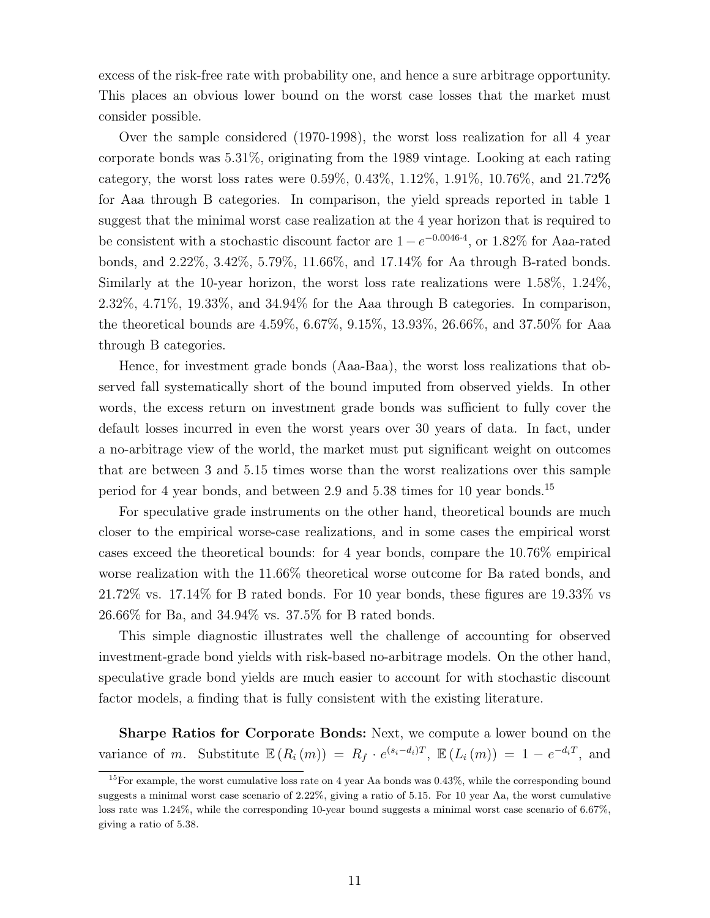excess of the risk-free rate with probability one, and hence a sure arbitrage opportunity. This places an obvious lower bound on the worst case losses that the market must consider possible.

Over the sample considered (1970-1998), the worst loss realization for all 4 year corporate bonds was 5.31%, originating from the 1989 vintage. Looking at each rating category, the worst loss rates were 0.59%, 0.43%,  $1.12\%$ ,  $1.91\%$ ,  $10.76\%$ , and  $21.72\%$ for Aaa through B categories. In comparison, the yield spreads reported in table 1 suggest that the minimal worst case realization at the 4 year horizon that is required to be consistent with a stochastic discount factor are  $1-e^{-0.0046 \cdot 4}$ , or 1.82% for Aaa-rated bonds, and 2.22%, 3.42%, 5.79%, 11.66%, and 17.14% for Aa through B-rated bonds. Similarly at the 10-year horizon, the worst loss rate realizations were 1.58%, 1.24%, 2.32%, 4.71%, 19.33%, and 34.94% for the Aaa through B categories. In comparison, the theoretical bounds are 4.59%, 6.67%, 9.15%, 13.93%, 26.66%, and 37.50% for Aaa through B categories.

Hence, for investment grade bonds (Aaa-Baa), the worst loss realizations that observed fall systematically short of the bound imputed from observed yields. In other words, the excess return on investment grade bonds was sufficient to fully cover the default losses incurred in even the worst years over 30 years of data. In fact, under a no-arbitrage view of the world, the market must put significant weight on outcomes that are between 3 and 5.15 times worse than the worst realizations over this sample period for 4 year bonds, and between 2.9 and 5.38 times for 10 year bonds.<sup>15</sup>

For speculative grade instruments on the other hand, theoretical bounds are much closer to the empirical worse-case realizations, and in some cases the empirical worst cases exceed the theoretical bounds: for 4 year bonds, compare the 10.76% empirical worse realization with the 11.66% theoretical worse outcome for Ba rated bonds, and 21.72% vs. 17.14% for B rated bonds. For 10 year bonds, these figures are 19.33% vs 26.66% for Ba, and 34.94% vs. 37.5% for B rated bonds.

This simple diagnostic illustrates well the challenge of accounting for observed investment-grade bond yields with risk-based no-arbitrage models. On the other hand, speculative grade bond yields are much easier to account for with stochastic discount factor models, a finding that is fully consistent with the existing literature.

Sharpe Ratios for Corporate Bonds: Next, we compute a lower bound on the variance of m. Substitute  $\mathbb{E}(R_i(m)) = R_f \cdot e^{(s_i-d_i)T}, \mathbb{E}(L_i(m)) = 1 - e^{-d_iT},$  and

<sup>&</sup>lt;sup>15</sup>For example, the worst cumulative loss rate on 4 year Aa bonds was  $0.43\%$ , while the corresponding bound suggests a minimal worst case scenario of 2.22%, giving a ratio of 5.15. For 10 year Aa, the worst cumulative loss rate was  $1.24\%$ , while the corresponding 10-year bound suggests a minimal worst case scenario of 6.67%, giving a ratio of 5.38.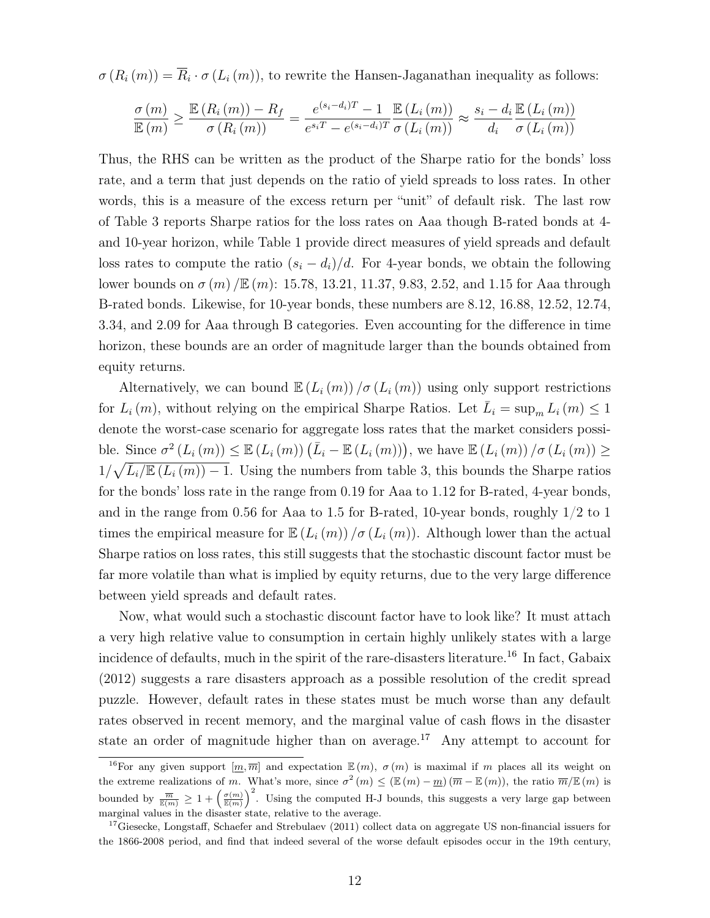$\sigma(R_i(m)) = \overline{R}_i \cdot \sigma(L_i(m))$ , to rewrite the Hansen-Jaganathan inequality as follows:

$$
\frac{\sigma(m)}{\mathbb{E}(m)} \ge \frac{\mathbb{E}(R_i(m)) - R_f}{\sigma(R_i(m))} = \frac{e^{(s_i - d_i)T} - 1}{e^{s_i T} - e^{(s_i - d_i)T}} \frac{\mathbb{E}(L_i(m))}{\sigma(L_i(m))} \approx \frac{s_i - d_i \mathbb{E}(L_i(m))}{d_i \sigma(L_i(m))}
$$

Thus, the RHS can be written as the product of the Sharpe ratio for the bonds' loss rate, and a term that just depends on the ratio of yield spreads to loss rates. In other words, this is a measure of the excess return per "unit" of default risk. The last row of Table 3 reports Sharpe ratios for the loss rates on Aaa though B-rated bonds at 4 and 10-year horizon, while Table 1 provide direct measures of yield spreads and default loss rates to compute the ratio  $(s_i - d_i)/d$ . For 4-year bonds, we obtain the following lower bounds on  $\sigma(m) / \mathbb{E}(m)$ : 15.78, 13.21, 11.37, 9.83, 2.52, and 1.15 for Aaa through B-rated bonds. Likewise, for 10-year bonds, these numbers are 8.12, 16.88, 12.52, 12.74, 3.34, and 2.09 for Aaa through B categories. Even accounting for the difference in time horizon, these bounds are an order of magnitude larger than the bounds obtained from equity returns.

Alternatively, we can bound  $\mathbb{E}(L_i(m))/\sigma(L_i(m))$  using only support restrictions for  $L_i(m)$ , without relying on the empirical Sharpe Ratios. Let  $\bar{L}_i = \sup_m L_i(m) \leq 1$ denote the worst-case scenario for aggregate loss rates that the market considers possible. Since  $\sigma^2(L_i(m)) \leq \mathbb{E}(L_i(m))(\overline{L}_i - \mathbb{E}(L_i(m)))$ , we have  $\mathbb{E}(L_i(m)) / \sigma(L_i(m)) \geq$  $1/\sqrt{\bar{L}_i/\mathbb{E}\left(L_i(m)\right)-1}$ . Using the numbers from table 3, this bounds the Sharpe ratios for the bonds' loss rate in the range from 0.19 for Aaa to 1.12 for B-rated, 4-year bonds, and in the range from 0.56 for Aaa to 1.5 for B-rated, 10-year bonds, roughly  $1/2$  to 1 times the empirical measure for  $\mathbb{E}\left(L_i(m)\right)/\sigma(L_i(m))$ . Although lower than the actual Sharpe ratios on loss rates, this still suggests that the stochastic discount factor must be far more volatile than what is implied by equity returns, due to the very large difference between yield spreads and default rates.

Now, what would such a stochastic discount factor have to look like? It must attach a very high relative value to consumption in certain highly unlikely states with a large incidence of defaults, much in the spirit of the rare-disasters literature.<sup>16</sup> In fact, Gabaix (2012) suggests a rare disasters approach as a possible resolution of the credit spread puzzle. However, default rates in these states must be much worse than any default rates observed in recent memory, and the marginal value of cash flows in the disaster state an order of magnitude higher than on average.<sup>17</sup> Any attempt to account for

<sup>&</sup>lt;sup>16</sup>For any given support  $\left[\underline{m}, \overline{m}\right]$  and expectation  $\mathbb{E}(m)$ ,  $\sigma(m)$  is maximal if m places all its weight on the extreme realizations of m. What's more, since  $\sigma^2(m) \leq (\mathbb{E}(m) - m)(\overline{m} - \mathbb{E}(m))$ , the ratio  $\overline{m}/\mathbb{E}(m)$  is bounded by  $\frac{\overline{m}}{\mathbb{E}(m)} \geq 1 + \left(\frac{\sigma(m)}{\mathbb{E}(m)}\right)^2$ . Using the computed H-J bounds, this suggests a very large gap between marginal values in the disaster state, relative to the average.

<sup>&</sup>lt;sup>17</sup>Giesecke, Longstaff, Schaefer and Strebulaev (2011) collect data on aggregate US non-financial issuers for the 1866-2008 period, and find that indeed several of the worse default episodes occur in the 19th century,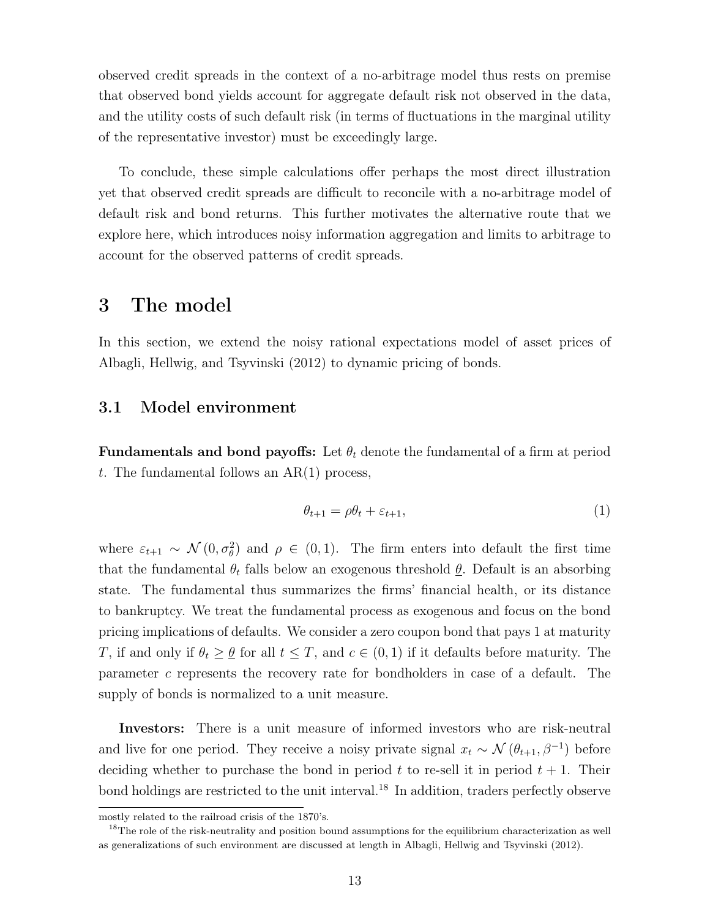observed credit spreads in the context of a no-arbitrage model thus rests on premise that observed bond yields account for aggregate default risk not observed in the data, and the utility costs of such default risk (in terms of fluctuations in the marginal utility of the representative investor) must be exceedingly large.

To conclude, these simple calculations offer perhaps the most direct illustration yet that observed credit spreads are difficult to reconcile with a no-arbitrage model of default risk and bond returns. This further motivates the alternative route that we explore here, which introduces noisy information aggregation and limits to arbitrage to account for the observed patterns of credit spreads.

# 3 The model

In this section, we extend the noisy rational expectations model of asset prices of Albagli, Hellwig, and Tsyvinski (2012) to dynamic pricing of bonds.

### 3.1 Model environment

**Fundamentals and bond payoffs:** Let  $\theta_t$  denote the fundamental of a firm at period t. The fundamental follows an  $AR(1)$  process,

$$
\theta_{t+1} = \rho \theta_t + \varepsilon_{t+1},\tag{1}
$$

where  $\varepsilon_{t+1} \sim \mathcal{N}(0, \sigma_\theta^2)$  and  $\rho \in (0, 1)$ . The firm enters into default the first time that the fundamental  $\theta_t$  falls below an exogenous threshold  $\underline{\theta}$ . Default is an absorbing state. The fundamental thus summarizes the firms' financial health, or its distance to bankruptcy. We treat the fundamental process as exogenous and focus on the bond pricing implications of defaults. We consider a zero coupon bond that pays 1 at maturity T, if and only if  $\theta_t \geq \theta$  for all  $t \leq T$ , and  $c \in (0,1)$  if it defaults before maturity. The parameter c represents the recovery rate for bondholders in case of a default. The supply of bonds is normalized to a unit measure.

Investors: There is a unit measure of informed investors who are risk-neutral and live for one period. They receive a noisy private signal  $x_t \sim \mathcal{N}(\theta_{t+1}, \beta^{-1})$  before deciding whether to purchase the bond in period  $t$  to re-sell it in period  $t + 1$ . Their bond holdings are restricted to the unit interval.<sup>18</sup> In addition, traders perfectly observe

mostly related to the railroad crisis of the 1870's.

<sup>&</sup>lt;sup>18</sup>The role of the risk-neutrality and position bound assumptions for the equilibrium characterization as well as generalizations of such environment are discussed at length in Albagli, Hellwig and Tsyvinski (2012).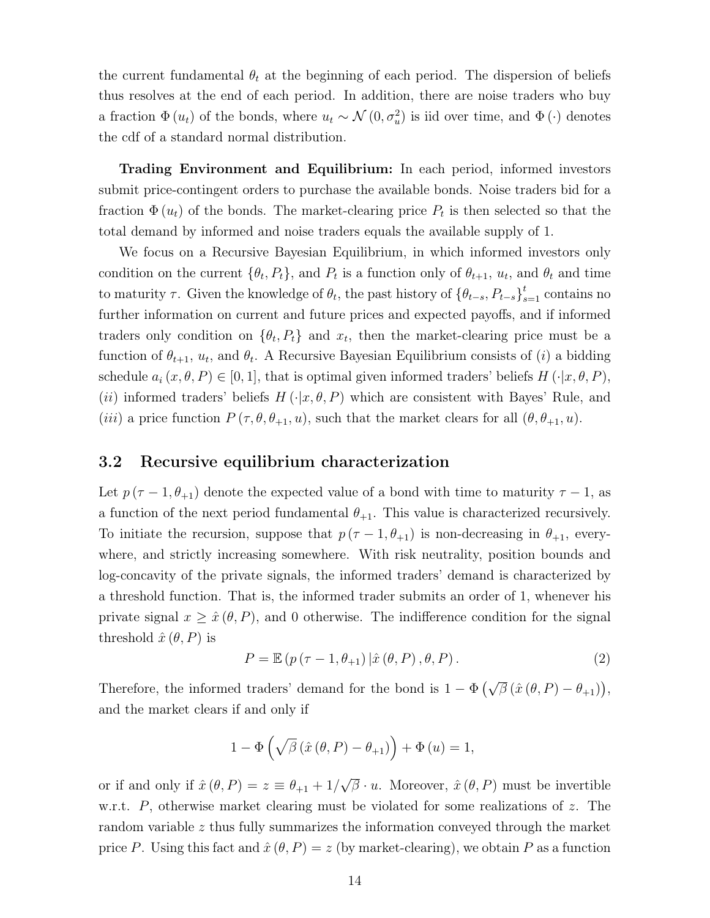the current fundamental  $\theta_t$  at the beginning of each period. The dispersion of beliefs thus resolves at the end of each period. In addition, there are noise traders who buy a fraction  $\Phi(u_t)$  of the bonds, where  $u_t \sim \mathcal{N}(0, \sigma_u^2)$  is iid over time, and  $\Phi(\cdot)$  denotes the cdf of a standard normal distribution.

Trading Environment and Equilibrium: In each period, informed investors submit price-contingent orders to purchase the available bonds. Noise traders bid for a fraction  $\Phi(u_t)$  of the bonds. The market-clearing price  $P_t$  is then selected so that the total demand by informed and noise traders equals the available supply of 1.

We focus on a Recursive Bayesian Equilibrium, in which informed investors only condition on the current  $\{\theta_t, P_t\}$ , and  $P_t$  is a function only of  $\theta_{t+1}, u_t$ , and  $\theta_t$  and time to maturity  $\tau$ . Given the knowledge of  $\theta_t$ , the past history of  $\{\theta_{t-s}, P_{t-s}\}_{s=1}^t$  contains no further information on current and future prices and expected payoffs, and if informed traders only condition on  $\{\theta_t, P_t\}$  and  $x_t$ , then the market-clearing price must be a function of  $\theta_{t+1}, u_t$ , and  $\theta_t$ . A Recursive Bayesian Equilibrium consists of (*i*) a bidding schedule  $a_i(x, \theta, P) \in [0, 1]$ , that is optimal given informed traders' beliefs  $H(\cdot|x, \theta, P)$ , (ii) informed traders' beliefs  $H(\cdot|x,\theta,P)$  which are consistent with Bayes' Rule, and (iii) a price function  $P(\tau, \theta, \theta_{+1}, u)$ , such that the market clears for all  $(\theta, \theta_{+1}, u)$ .

### 3.2 Recursive equilibrium characterization

Let  $p(\tau-1,\theta_{+1})$  denote the expected value of a bond with time to maturity  $\tau-1$ , as a function of the next period fundamental  $\theta_{+1}$ . This value is characterized recursively. To initiate the recursion, suppose that  $p(\tau-1, \theta_{+1})$  is non-decreasing in  $\theta_{+1}$ , everywhere, and strictly increasing somewhere. With risk neutrality, position bounds and log-concavity of the private signals, the informed traders' demand is characterized by a threshold function. That is, the informed trader submits an order of 1, whenever his private signal  $x \geq \hat{x}(\theta, P)$ , and 0 otherwise. The indifference condition for the signal threshold  $\hat{x}(\theta, P)$  is

$$
P = \mathbb{E}\left(p\left(\tau - 1, \theta_{+1}\right) | \hat{x}\left(\theta, P\right), \theta, P\right). \tag{2}
$$

Therefore, the informed traders' demand for the bond is  $1 - \Phi\left(\sqrt{\beta} (\hat{x}(\theta, P) - \theta_{+1})\right)$ , and the market clears if and only if

$$
1 - \Phi\left(\sqrt{\beta} \left(\hat{x} \left(\theta, P\right) - \theta_{+1}\right)\right) + \Phi\left(u\right) = 1,
$$

or if and only if  $\hat{x}(\theta, P) = z \equiv \theta_{+1} + 1/2$ √  $\overline{\beta} \cdot u$ . Moreover,  $\hat{x}(\theta, P)$  must be invertible w.r.t. P, otherwise market clearing must be violated for some realizations of z. The random variable z thus fully summarizes the information conveyed through the market price P. Using this fact and  $\hat{x}(\theta, P) = z$  (by market-clearing), we obtain P as a function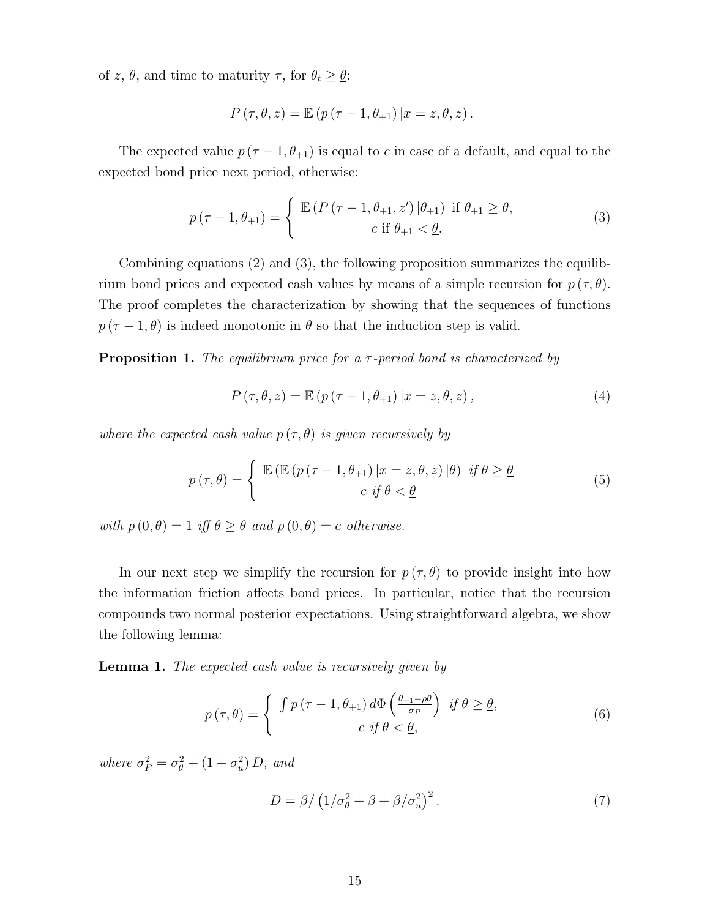of z,  $\theta$ , and time to maturity  $\tau$ , for  $\theta_t \geq \underline{\theta}$ :

$$
P(\tau, \theta, z) = \mathbb{E} (p(\tau - 1, \theta_{+1}) | x = z, \theta, z).
$$

The expected value  $p(\tau - 1, \theta_{+1})$  is equal to c in case of a default, and equal to the expected bond price next period, otherwise:

$$
p(\tau - 1, \theta_{+1}) = \begin{cases} \mathbb{E} (P(\tau - 1, \theta_{+1}, z') | \theta_{+1}) & \text{if } \theta_{+1} \ge \underline{\theta}, \\ c & \text{if } \theta_{+1} < \underline{\theta}. \end{cases}
$$
(3)

Combining equations (2) and (3), the following proposition summarizes the equilibrium bond prices and expected cash values by means of a simple recursion for  $p(\tau, \theta)$ . The proof completes the characterization by showing that the sequences of functions  $p(\tau-1,\theta)$  is indeed monotonic in  $\theta$  so that the induction step is valid.

**Proposition 1.** The equilibrium price for a  $\tau$ -period bond is characterized by

$$
P(\tau, \theta, z) = \mathbb{E}\left(p\left(\tau - 1, \theta_{+1}\right)|x = z, \theta, z\right),\tag{4}
$$

where the expected cash value  $p(\tau, \theta)$  is given recursively by

$$
p(\tau,\theta) = \begin{cases} \mathbb{E}\left(\mathbb{E}\left(p\left(\tau-1,\theta_{+1}\right)|x=z,\theta,z\right)|\theta\right) & \text{if } \theta \geq \underline{\theta} \\ c & \text{if } \theta < \underline{\theta} \end{cases}
$$
(5)

with  $p(0, \theta) = 1$  iff  $\theta \ge \theta$  and  $p(0, \theta) = c$  otherwise.

In our next step we simplify the recursion for  $p(\tau, \theta)$  to provide insight into how the information friction affects bond prices. In particular, notice that the recursion compounds two normal posterior expectations. Using straightforward algebra, we show the following lemma:

Lemma 1. The expected cash value is recursively given by

$$
p(\tau,\theta) = \begin{cases} \int p(\tau-1,\theta_{+1}) d\Phi\left(\frac{\theta_{+1}-\rho\theta}{\sigma_P}\right) & \text{if } \theta \geq \underline{\theta}, \\ c & \text{if } \theta < \underline{\theta}, \end{cases}
$$
(6)

where  $\sigma_P^2 = \sigma_\theta^2 + (1 + \sigma_u^2) D$ , and

$$
D = \beta / \left( 1 / \sigma_{\theta}^2 + \beta + \beta / \sigma_{u}^2 \right)^2. \tag{7}
$$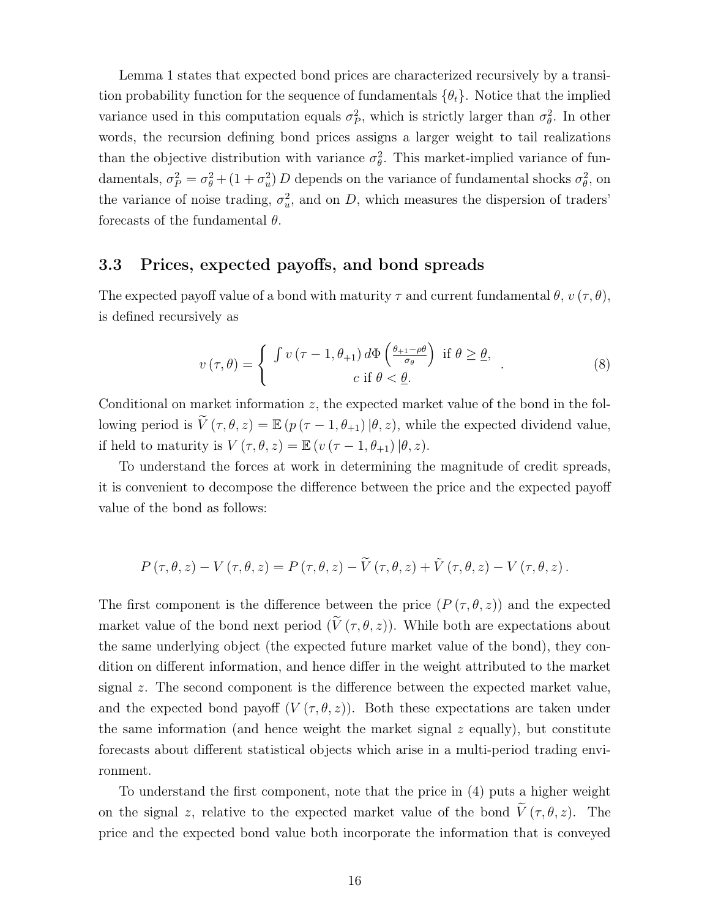Lemma 1 states that expected bond prices are characterized recursively by a transition probability function for the sequence of fundamentals  $\{\theta_t\}$ . Notice that the implied variance used in this computation equals  $\sigma_P^2$ , which is strictly larger than  $\sigma_\theta^2$ . In other words, the recursion defining bond prices assigns a larger weight to tail realizations than the objective distribution with variance  $\sigma_{\theta}^2$ . This market-implied variance of fundamentals,  $\sigma_P^2 = \sigma_\theta^2 + (1 + \sigma_u^2) D$  depends on the variance of fundamental shocks  $\sigma_\theta^2$ , on the variance of noise trading,  $\sigma_u^2$ , and on D, which measures the dispersion of traders' forecasts of the fundamental  $\theta$ .

### 3.3 Prices, expected payoffs, and bond spreads

The expected payoff value of a bond with maturity  $\tau$  and current fundamental  $\theta$ ,  $v(\tau, \theta)$ , is defined recursively as

$$
v(\tau,\theta) = \begin{cases} \int v(\tau-1,\theta_{+1}) d\Phi\left(\frac{\theta_{+1}-\rho\theta}{\sigma_{\theta}}\right) & \text{if } \theta \geq \theta, \\ c & \text{if } \theta < \underline{\theta}. \end{cases}
$$
 (8)

Conditional on market information  $z$ , the expected market value of the bond in the following period is  $\widetilde{V}(\tau,\theta,z) = \mathbb{E} (p(\tau-1,\theta_{+1})|\theta,z)$ , while the expected dividend value, if held to maturity is  $V(\tau, \theta, z) = \mathbb{E} (v(\tau - 1, \theta_{+1}) | \theta, z).$ 

To understand the forces at work in determining the magnitude of credit spreads, it is convenient to decompose the difference between the price and the expected payoff value of the bond as follows:

$$
P(\tau,\theta,z) - V(\tau,\theta,z) = P(\tau,\theta,z) - \widetilde{V}(\tau,\theta,z) + \widetilde{V}(\tau,\theta,z) - V(\tau,\theta,z).
$$

The first component is the difference between the price  $(P(\tau,\theta,z))$  and the expected market value of the bond next period  $(\widetilde{V}(\tau,\theta,z))$ . While both are expectations about the same underlying object (the expected future market value of the bond), they condition on different information, and hence differ in the weight attributed to the market signal  $z$ . The second component is the difference between the expected market value, and the expected bond payoff  $(V(\tau,\theta,z))$ . Both these expectations are taken under the same information (and hence weight the market signal  $z$  equally), but constitute forecasts about different statistical objects which arise in a multi-period trading environment.

To understand the first component, note that the price in (4) puts a higher weight on the signal z, relative to the expected market value of the bond  $\tilde{V}(\tau,\theta,z)$ . The price and the expected bond value both incorporate the information that is conveyed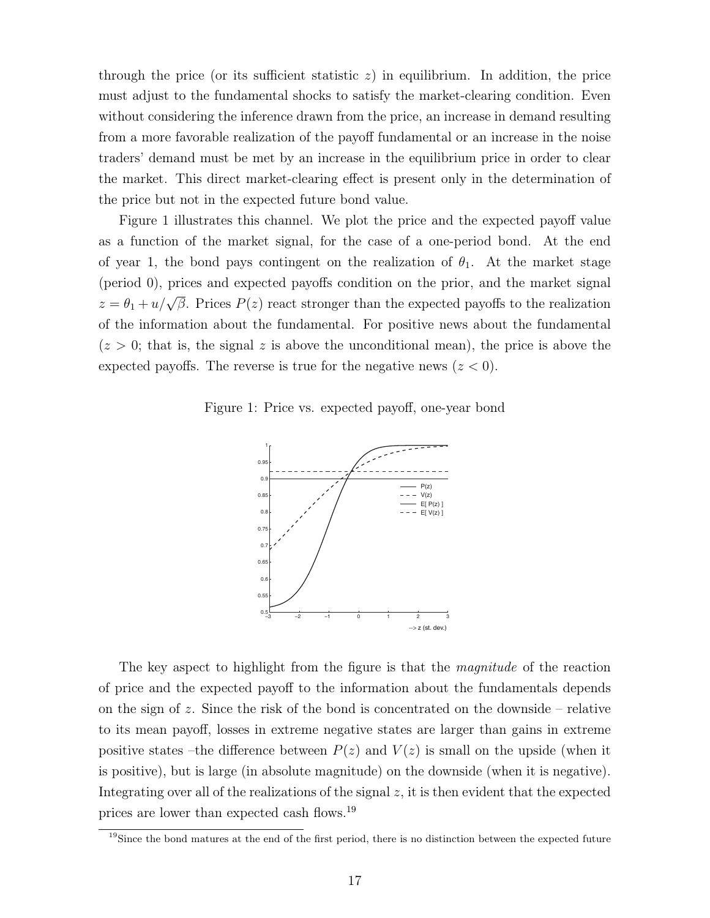through the price (or its sufficient statistic  $z$ ) in equilibrium. In addition, the price must adjust to the fundamental shocks to satisfy the market-clearing condition. Even without considering the inference drawn from the price, an increase in demand resulting from a more favorable realization of the payoff fundamental or an increase in the noise traders' demand must be met by an increase in the equilibrium price in order to clear the market. This direct market-clearing effect is present only in the determination of the price but not in the expected future bond value.

Figure 1 illustrates this channel. We plot the price and the expected payoff value as a function of the market signal, for the case of a one-period bond. At the end of year 1, the bond pays contingent on the realization of  $\theta_1$ . At the market stage (period 0), prices and expected payoffs condition on the prior, and the market signal  $z = \theta_1 + u/\sqrt{\beta}$ . Prices  $P(z)$  react stronger than the expected payoffs to the realization of the information about the fundamental. For positive news about the fundamental  $(z > 0;$  that is, the signal z is above the unconditional mean), the price is above the expected payoffs. The reverse is true for the negative news  $(z < 0)$ .

Figure 1: Price vs. expected payoff, one-year bond



The key aspect to highlight from the figure is that the *magnitude* of the reaction of price and the expected payoff to the information about the fundamentals depends on the sign of z. Since the risk of the bond is concentrated on the downside – relative to its mean payoff, losses in extreme negative states are larger than gains in extreme positive states –the difference between  $P(z)$  and  $V(z)$  is small on the upside (when it is positive), but is large (in absolute magnitude) on the downside (when it is negative). Integrating over all of the realizations of the signal  $z$ , it is then evident that the expected prices are lower than expected cash flows.<sup>19</sup>

 $19\text{Since the bond matures at the end of the first period, there is no distinction between the expected future.}$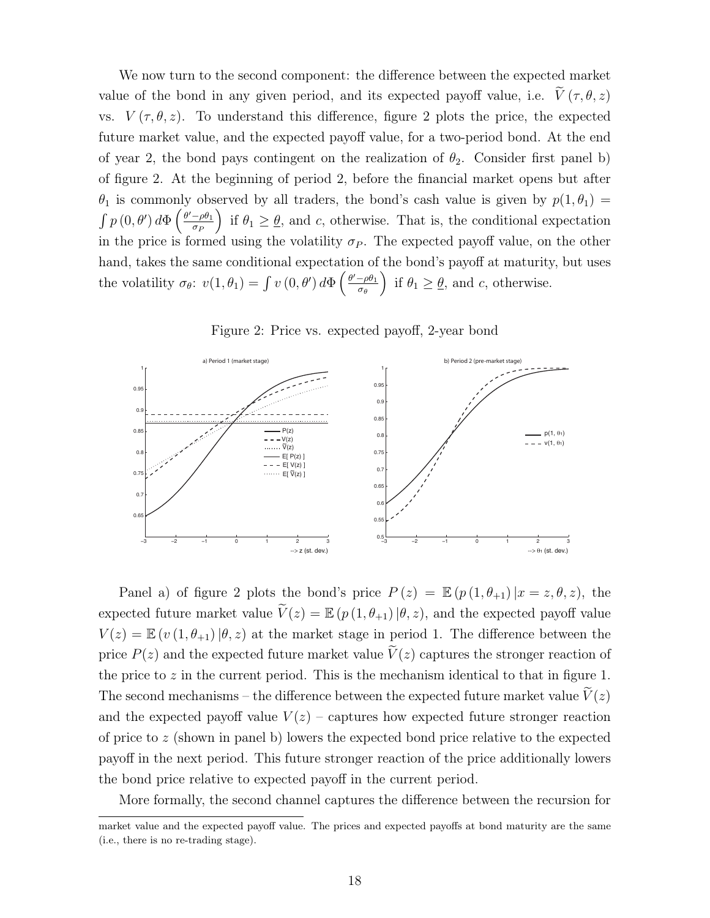We now turn to the second component: the difference between the expected market value of the bond in any given period, and its expected payoff value, i.e.  $\tilde{V}(\tau, \theta, z)$ vs.  $V(\tau, \theta, z)$ . To understand this difference, figure 2 plots the price, the expected future market value, and the expected payoff value, for a two-period bond. At the end of year 2, the bond pays contingent on the realization of  $\theta_2$ . Consider first panel b) of figure 2. At the beginning of period 2, before the financial market opens but after  $\theta_1$  is commonly observed by all traders, the bond's cash value is given by  $p(1, \theta_1) =$  $\int p(0,\theta') d\Phi\left(\frac{\theta'-\rho\theta_1}{\sigma_D}\right)$  $\sigma_F$ if  $\theta_1 \geq \theta$ , and c, otherwise. That is, the conditional expectation in the price is formed using the volatility  $\sigma_P$ . The expected payoff value, on the other hand, takes the same conditional expectation of the bond's payoff at maturity, but uses the volatility  $\sigma_{\theta}$ :  $v(1, \theta_1) = \int v(0, \theta') d\Phi \left( \frac{\theta' - \rho \theta_1}{\sigma_{\theta}} \right)$ σθ if  $\theta_1 \geq \underline{\theta}$ , and c, otherwise.



Figure 2: Price vs. expected payoff, 2-year bond

Panel a) of figure 2 plots the bond's price  $P(z) = \mathbb{E} (p(1, \theta_{+1})|x = z, \theta, z)$ , the expected future market value  $\widetilde{V}(z) = \mathbb{E} (p(1, \theta_{+1}) | \theta, z)$ , and the expected payoff value  $V(z) = \mathbb{E} (v (1, \theta_{+1}) | \theta, z)$  at the market stage in period 1. The difference between the price  $P(z)$  and the expected future market value  $V(z)$  captures the stronger reaction of the price to  $z$  in the current period. This is the mechanism identical to that in figure 1. The second mechanisms – the difference between the expected future market value  $\widetilde{V}(z)$ and the expected payoff value  $V(z)$  – captures how expected future stronger reaction of price to z (shown in panel b) lowers the expected bond price relative to the expected payoff in the next period. This future stronger reaction of the price additionally lowers the bond price relative to expected payoff in the current period.

More formally, the second channel captures the difference between the recursion for

market value and the expected payoff value. The prices and expected payoffs at bond maturity are the same (i.e., there is no re-trading stage).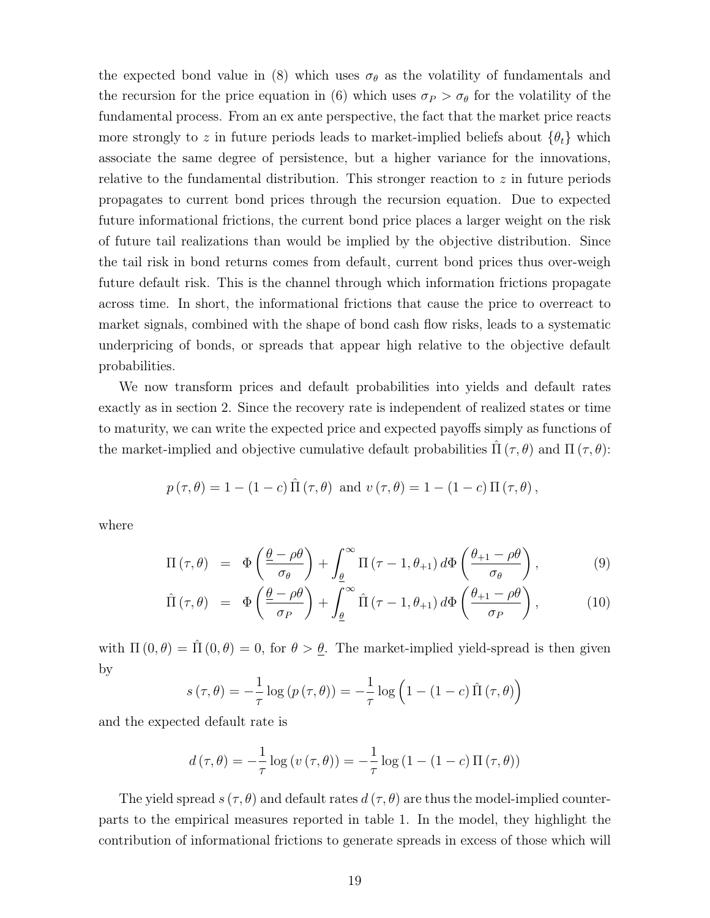the expected bond value in (8) which uses  $\sigma_{\theta}$  as the volatility of fundamentals and the recursion for the price equation in (6) which uses  $\sigma_P > \sigma_\theta$  for the volatility of the fundamental process. From an ex ante perspective, the fact that the market price reacts more strongly to z in future periods leads to market-implied beliefs about  $\{\theta_t\}$  which associate the same degree of persistence, but a higher variance for the innovations, relative to the fundamental distribution. This stronger reaction to  $z$  in future periods propagates to current bond prices through the recursion equation. Due to expected future informational frictions, the current bond price places a larger weight on the risk of future tail realizations than would be implied by the objective distribution. Since the tail risk in bond returns comes from default, current bond prices thus over-weigh future default risk. This is the channel through which information frictions propagate across time. In short, the informational frictions that cause the price to overreact to market signals, combined with the shape of bond cash flow risks, leads to a systematic underpricing of bonds, or spreads that appear high relative to the objective default probabilities.

We now transform prices and default probabilities into yields and default rates exactly as in section 2. Since the recovery rate is independent of realized states or time to maturity, we can write the expected price and expected payoffs simply as functions of the market-implied and objective cumulative default probabilities  $\Pi(\tau,\theta)$  and  $\Pi(\tau,\theta)$ :

$$
p(\tau, \theta) = 1 - (1 - c) \hat{\Pi}(\tau, \theta)
$$
 and  $v(\tau, \theta) = 1 - (1 - c) \Pi(\tau, \theta)$ ,

where

$$
\Pi(\tau,\theta) = \Phi\left(\frac{\underline{\theta} - \rho\theta}{\sigma_{\theta}}\right) + \int_{\underline{\theta}}^{\infty} \Pi(\tau - 1, \theta_{+1}) d\Phi\left(\frac{\theta_{+1} - \rho\theta}{\sigma_{\theta}}\right), \tag{9}
$$

$$
\hat{\Pi}(\tau,\theta) = \Phi\left(\frac{\theta-\rho\theta}{\sigma_P}\right) + \int_{\underline{\theta}}^{\infty} \hat{\Pi}(\tau-1,\theta_{+1}) d\Phi\left(\frac{\theta_{+1}-\rho\theta}{\sigma_P}\right),\tag{10}
$$

with  $\Pi(0, \theta) = \hat{\Pi}(0, \theta) = 0$ , for  $\theta > \underline{\theta}$ . The market-implied yield-spread is then given by

$$
s(\tau, \theta) = -\frac{1}{\tau} \log (p(\tau, \theta)) = -\frac{1}{\tau} \log \left(1 - (1 - c) \hat{\Pi}(\tau, \theta)\right)
$$

and the expected default rate is

$$
d(\tau, \theta) = -\frac{1}{\tau} \log (v(\tau, \theta)) = -\frac{1}{\tau} \log (1 - (1 - c) \Pi(\tau, \theta))
$$

The yield spread  $s(\tau, \theta)$  and default rates  $d(\tau, \theta)$  are thus the model-implied counterparts to the empirical measures reported in table 1. In the model, they highlight the contribution of informational frictions to generate spreads in excess of those which will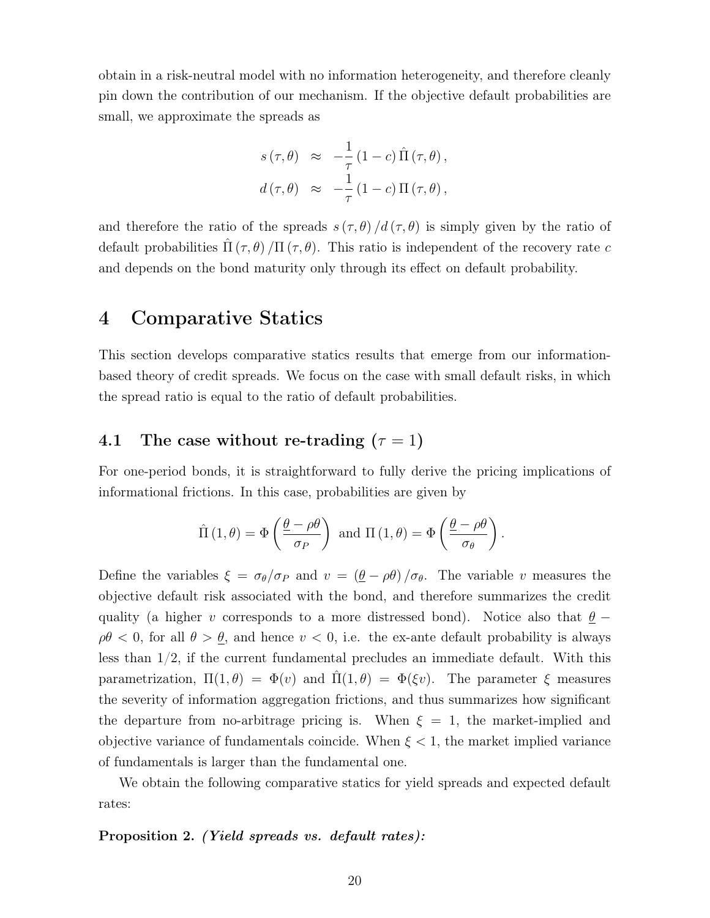obtain in a risk-neutral model with no information heterogeneity, and therefore cleanly pin down the contribution of our mechanism. If the objective default probabilities are small, we approximate the spreads as

$$
s(\tau,\theta) \approx -\frac{1}{\tau} (1-c) \hat{\Pi} (\tau,\theta),
$$
  

$$
d(\tau,\theta) \approx -\frac{1}{\tau} (1-c) \Pi (\tau,\theta),
$$

and therefore the ratio of the spreads  $s(\tau, \theta)/d(\tau, \theta)$  is simply given by the ratio of default probabilities  $\Pi(\tau,\theta)/\Pi(\tau,\theta)$ . This ratio is independent of the recovery rate c and depends on the bond maturity only through its effect on default probability.

# 4 Comparative Statics

This section develops comparative statics results that emerge from our informationbased theory of credit spreads. We focus on the case with small default risks, in which the spread ratio is equal to the ratio of default probabilities.

# 4.1 The case without re-trading  $(\tau = 1)$

For one-period bonds, it is straightforward to fully derive the pricing implications of informational frictions. In this case, probabilities are given by

$$
\hat{\Pi}(1,\theta) = \Phi\left(\frac{\theta - \rho\theta}{\sigma_P}\right) \text{ and } \Pi(1,\theta) = \Phi\left(\frac{\theta - \rho\theta}{\sigma_\theta}\right).
$$

Define the variables  $\xi = \sigma_{\theta}/\sigma_P$  and  $v = (\underline{\theta} - \rho\theta)/\sigma_{\theta}$ . The variable v measures the objective default risk associated with the bond, and therefore summarizes the credit quality (a higher v corresponds to a more distressed bond). Notice also that  $\underline{\theta}$  −  $\rho\theta$  < 0, for all  $\theta > \underline{\theta}$ , and hence  $v < 0$ , i.e. the ex-ante default probability is always less than 1/2, if the current fundamental precludes an immediate default. With this parametrization,  $\Pi(1,\theta) = \Phi(v)$  and  $\Pi(1,\theta) = \Phi(\xi v)$ . The parameter  $\xi$  measures the severity of information aggregation frictions, and thus summarizes how significant the departure from no-arbitrage pricing is. When  $\xi = 1$ , the market-implied and objective variance of fundamentals coincide. When  $\xi < 1$ , the market implied variance of fundamentals is larger than the fundamental one.

We obtain the following comparative statics for yield spreads and expected default rates:

#### Proposition 2. *(Yield spreads vs. default rates)*: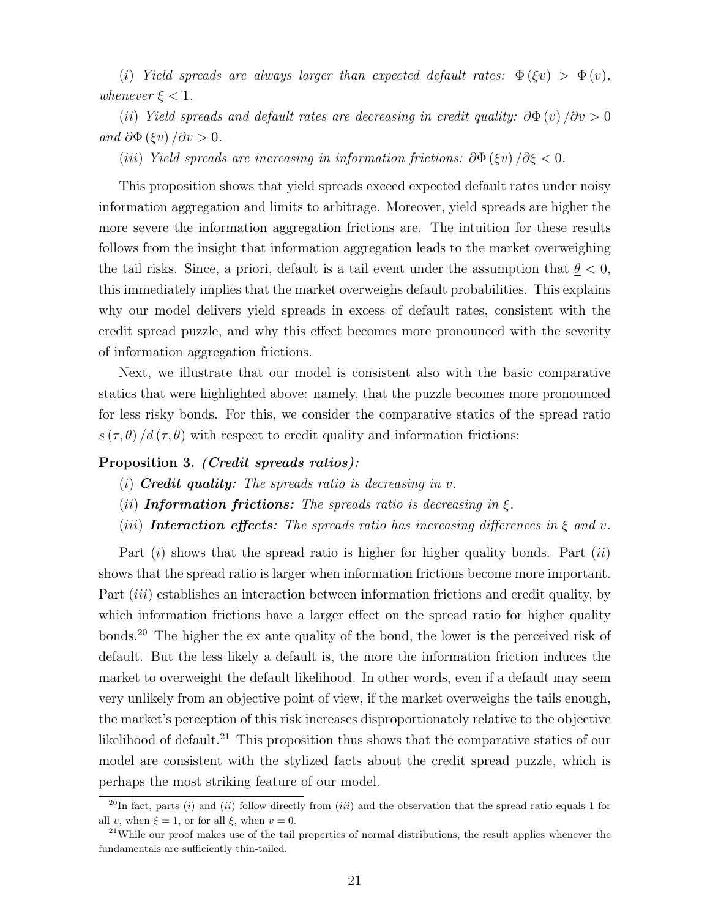(i) Yield spreads are always larger than expected default rates:  $\Phi(\xi v) > \Phi(v)$ , whenever  $\xi < 1$ .

(ii) Yield spreads and default rates are decreasing in credit quality:  $\partial \Phi(v) / \partial v > 0$ and  $\partial \Phi (\xi v) / \partial v > 0$ .

(iii) Yield spreads are increasing in information frictions:  $\partial \Phi(\xi v) / \partial \xi < 0$ .

This proposition shows that yield spreads exceed expected default rates under noisy information aggregation and limits to arbitrage. Moreover, yield spreads are higher the more severe the information aggregation frictions are. The intuition for these results follows from the insight that information aggregation leads to the market overweighing the tail risks. Since, a priori, default is a tail event under the assumption that  $\theta < 0$ , this immediately implies that the market overweighs default probabilities. This explains why our model delivers yield spreads in excess of default rates, consistent with the credit spread puzzle, and why this effect becomes more pronounced with the severity of information aggregation frictions.

Next, we illustrate that our model is consistent also with the basic comparative statics that were highlighted above: namely, that the puzzle becomes more pronounced for less risky bonds. For this, we consider the comparative statics of the spread ratio  $s(\tau, \theta) / d(\tau, \theta)$  with respect to credit quality and information frictions:

#### Proposition 3. *(Credit spreads ratios)*:

- (i) **Credit quality:** The spreads ratio is decreasing in  $v$ .
- (*ii*) **Information frictions:** The spreads ratio is decreasing in  $\xi$ .
- (iii) **Interaction effects:** The spreads ratio has increasing differences in  $\xi$  and v.

Part  $(i)$  shows that the spread ratio is higher for higher quality bonds. Part  $(ii)$ shows that the spread ratio is larger when information frictions become more important. Part *(iii)* establishes an interaction between information frictions and credit quality, by which information frictions have a larger effect on the spread ratio for higher quality bonds.<sup>20</sup> The higher the ex ante quality of the bond, the lower is the perceived risk of default. But the less likely a default is, the more the information friction induces the market to overweight the default likelihood. In other words, even if a default may seem very unlikely from an objective point of view, if the market overweighs the tails enough, the market's perception of this risk increases disproportionately relative to the objective likelihood of default.<sup>21</sup> This proposition thus shows that the comparative statics of our model are consistent with the stylized facts about the credit spread puzzle, which is perhaps the most striking feature of our model.

<sup>&</sup>lt;sup>20</sup>In fact, parts (i) and (ii) follow directly from (iii) and the observation that the spread ratio equals 1 for all v, when  $\xi = 1$ , or for all  $\xi$ , when  $v = 0$ .

 $^{21}$ While our proof makes use of the tail properties of normal distributions, the result applies whenever the fundamentals are sufficiently thin-tailed.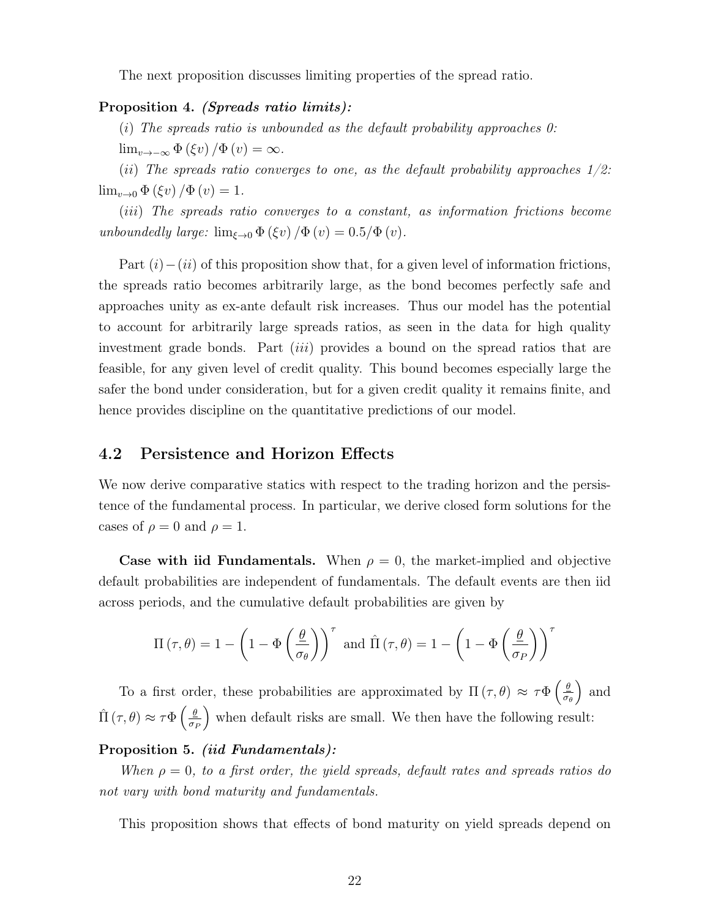The next proposition discusses limiting properties of the spread ratio.

### Proposition 4. (Spreads ratio limits):

(i) The spreads ratio is unbounded as the default probability approaches  $0$ :

 $\lim_{v\to-\infty} \Phi(\xi v)/\Phi(v) = \infty.$ 

(ii) The spreads ratio converges to one, as the default probability approaches  $1/2$ :  $\lim_{v\to 0} \Phi(\xi v)/\Phi(v) = 1.$ 

(iii) The spreads ratio converges to a constant, as information frictions become unboundedly large:  $\lim_{\xi \to 0} \Phi(\xi v) / \Phi(v) = 0.5 / \Phi(v)$ .

Part  $(i)$  – $(ii)$  of this proposition show that, for a given level of information frictions, the spreads ratio becomes arbitrarily large, as the bond becomes perfectly safe and approaches unity as ex-ante default risk increases. Thus our model has the potential to account for arbitrarily large spreads ratios, as seen in the data for high quality investment grade bonds. Part *(iii)* provides a bound on the spread ratios that are feasible, for any given level of credit quality. This bound becomes especially large the safer the bond under consideration, but for a given credit quality it remains finite, and hence provides discipline on the quantitative predictions of our model.

### 4.2 Persistence and Horizon Effects

We now derive comparative statics with respect to the trading horizon and the persistence of the fundamental process. In particular, we derive closed form solutions for the cases of  $\rho = 0$  and  $\rho = 1$ .

Case with iid Fundamentals. When  $\rho = 0$ , the market-implied and objective default probabilities are independent of fundamentals. The default events are then iid across periods, and the cumulative default probabilities are given by

$$
\Pi(\tau,\theta) = 1 - \left(1 - \Phi\left(\frac{\theta}{\sigma_{\theta}}\right)\right)^{\tau} \text{ and } \hat{\Pi}(\tau,\theta) = 1 - \left(1 - \Phi\left(\frac{\theta}{\sigma_P}\right)\right)^{\tau}
$$

To a first order, these probabilities are approximated by  $\Pi(\tau,\theta) \approx \tau \Phi\left(\frac{\theta}{\sigma}\right)$ σθ ) and  $\hat{\Pi}(\tau,\theta) \approx \tau \Phi\left(\frac{\theta}{\sigma} \right)$  $\sigma_F$ when default risks are small. We then have the following result:

#### Proposition 5. *(iid Fundamentals)*:

When  $\rho = 0$ , to a first order, the yield spreads, default rates and spreads ratios do not vary with bond maturity and fundamentals.

This proposition shows that effects of bond maturity on yield spreads depend on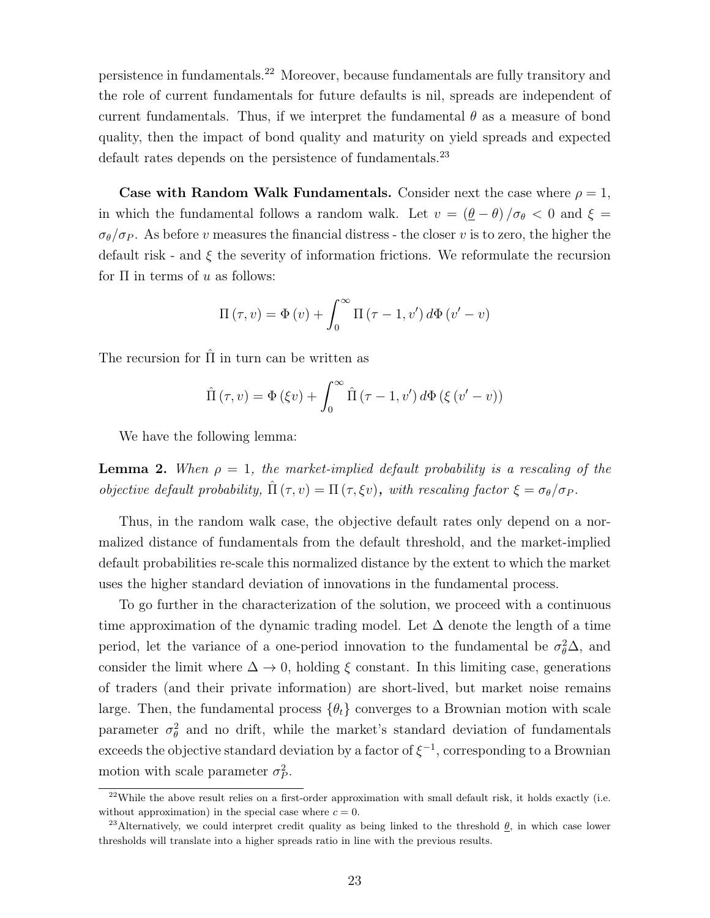persistence in fundamentals.<sup>22</sup> Moreover, because fundamentals are fully transitory and the role of current fundamentals for future defaults is nil, spreads are independent of current fundamentals. Thus, if we interpret the fundamental  $\theta$  as a measure of bond quality, then the impact of bond quality and maturity on yield spreads and expected default rates depends on the persistence of fundamentals.<sup>23</sup>

Case with Random Walk Fundamentals. Consider next the case where  $\rho = 1$ , in which the fundamental follows a random walk. Let  $v = (\theta - \theta)/\sigma_{\theta} < 0$  and  $\xi =$  $\sigma_{\theta}/\sigma_{P}$ . As before v measures the financial distress - the closer v is to zero, the higher the default risk - and  $\xi$  the severity of information frictions. We reformulate the recursion for  $\Pi$  in terms of u as follows:

$$
\Pi(\tau, v) = \Phi(v) + \int_0^\infty \Pi(\tau - 1, v') d\Phi(v' - v)
$$

The recursion for  $\hat{\Pi}$  in turn can be written as

$$
\hat{\Pi}(\tau, v) = \Phi(\xi v) + \int_0^\infty \hat{\Pi}(\tau - 1, v') d\Phi(\xi(v' - v))
$$

We have the following lemma:

**Lemma 2.** When  $\rho = 1$ , the market-implied default probability is a rescaling of the objective default probability,  $\Pi(\tau, v) = \Pi(\tau, \xi v)$ , with rescaling factor  $\xi = \sigma_{\theta}/\sigma_{P}$ .

Thus, in the random walk case, the objective default rates only depend on a normalized distance of fundamentals from the default threshold, and the market-implied default probabilities re-scale this normalized distance by the extent to which the market uses the higher standard deviation of innovations in the fundamental process.

To go further in the characterization of the solution, we proceed with a continuous time approximation of the dynamic trading model. Let  $\Delta$  denote the length of a time period, let the variance of a one-period innovation to the fundamental be  $\sigma_{\theta}^2 \Delta$ , and consider the limit where  $\Delta \to 0$ , holding  $\xi$  constant. In this limiting case, generations of traders (and their private information) are short-lived, but market noise remains large. Then, the fundamental process  $\{\theta_t\}$  converges to a Brownian motion with scale parameter  $\sigma_{\theta}^2$  and no drift, while the market's standard deviation of fundamentals exceeds the objective standard deviation by a factor of  $\xi^{-1}$ , corresponding to a Brownian motion with scale parameter  $\sigma_P^2$ .

<sup>&</sup>lt;sup>22</sup>While the above result relies on a first-order approximation with small default risk, it holds exactly (i.e. without approximation) in the special case where  $c = 0$ .

<sup>&</sup>lt;sup>23</sup>Alternatively, we could interpret credit quality as being linked to the threshold  $\theta$ , in which case lower thresholds will translate into a higher spreads ratio in line with the previous results.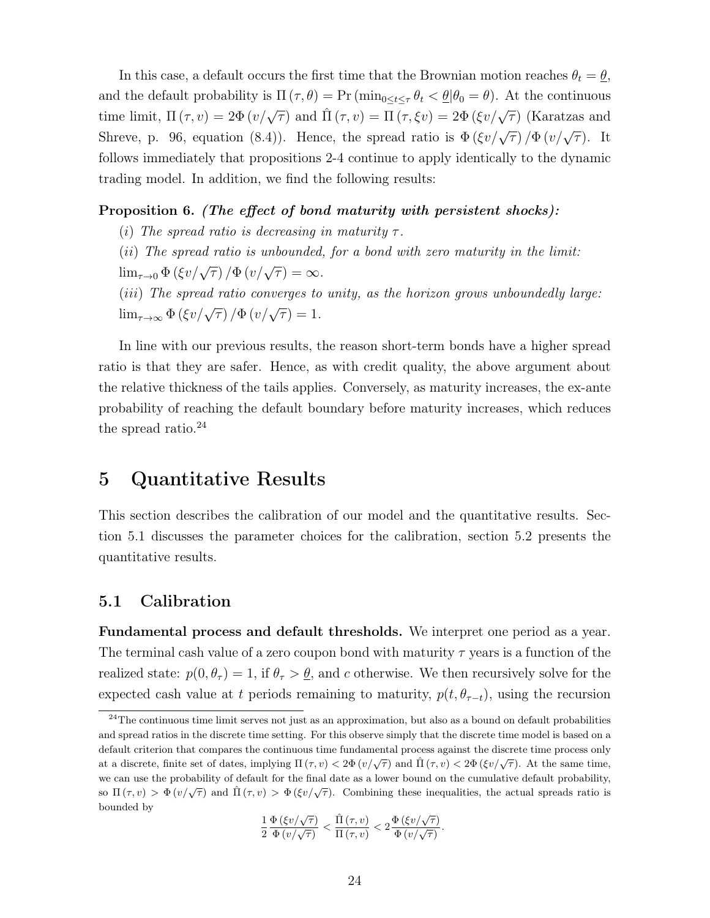In this case, a default occurs the first time that the Brownian motion reaches  $\theta_t = \theta$ , and the default probability is  $\Pi(\tau, \theta) = \Pr(\min_{0 \le t \le \tau} \theta_t < \theta | \theta_0 = \theta)$ . At the continuous time limit,  $\Pi(\tau, v) = 2\Phi(v/\sqrt{\tau})$  and  $\Pi(\tau, v) = \Pi(\tau, \xi v) = 2\Phi(\xi v/\sqrt{\tau})$  (Karatzas and Shreve, p. 96, equation (8.4)). Hence, the spread ratio is  $\Phi(\xi v/\sqrt{\tau})/\Phi(v/\sqrt{\tau})$ . It follows immediately that propositions 2-4 continue to apply identically to the dynamic trading model. In addition, we find the following results:

### Proposition 6. (The effect of bond maturity with persistent shocks):

- (i) The spread ratio is decreasing in maturity  $\tau$ .
- (ii) The spread ratio is unbounded, for a bond with zero maturity in the limit:
- $\lim_{\tau \to 0} \Phi (\xi v / \sqrt{\tau}) / \Phi (v / \sqrt{\tau}) = \infty.$
- (*iii*) The spread ratio converges to unity, as the horizon grows unboundedly large:  $\lim_{\tau \to \infty} \Phi(\xi v/\sqrt{\tau}) / \Phi(v/\sqrt{\tau}) = 1.$

In line with our previous results, the reason short-term bonds have a higher spread ratio is that they are safer. Hence, as with credit quality, the above argument about the relative thickness of the tails applies. Conversely, as maturity increases, the ex-ante probability of reaching the default boundary before maturity increases, which reduces the spread ratio. $^{24}$ 

# 5 Quantitative Results

This section describes the calibration of our model and the quantitative results. Section 5.1 discusses the parameter choices for the calibration, section 5.2 presents the quantitative results.

### 5.1 Calibration

Fundamental process and default thresholds. We interpret one period as a year. The terminal cash value of a zero coupon bond with maturity  $\tau$  years is a function of the realized state:  $p(0, \theta_\tau) = 1$ , if  $\theta_\tau > \underline{\theta}$ , and c otherwise. We then recursively solve for the expected cash value at t periods remaining to maturity,  $p(t, \theta_{\tau-t})$ , using the recursion

$$
\frac{1}{2} \frac{\Phi\left(\xi v/\sqrt{\tau}\right)}{\Phi\left(v/\sqrt{\tau}\right)} < \frac{\hat{\Pi}\left(\tau, v\right)}{\Pi\left(\tau, v\right)} < 2 \frac{\Phi\left(\xi v/\sqrt{\tau}\right)}{\Phi\left(v/\sqrt{\tau}\right)}.
$$

<sup>&</sup>lt;sup>24</sup>The continuous time limit serves not just as an approximation, but also as a bound on default probabilities and spread ratios in the discrete time setting. For this observe simply that the discrete time model is based on a default criterion that compares the continuous time fundamental process against the discrete time process only at a discrete, finite set of dates, implying  $\Pi(\tau, v) < 2\Phi(v/\sqrt{\tau})$  and  $\Pi(\tau, v) < 2\Phi(\xi v/\sqrt{\tau})$ . At the same time, we can use the probability of default for the final date as a lower bound on the cumulative default probability, so  $\Pi(\tau, v) > \Phi(v/\sqrt{\tau})$  and  $\hat{\Pi}(\tau, v) > \Phi(\xi v/\sqrt{\tau})$ . Combining these inequalities, the actual spreads ratio is bounded by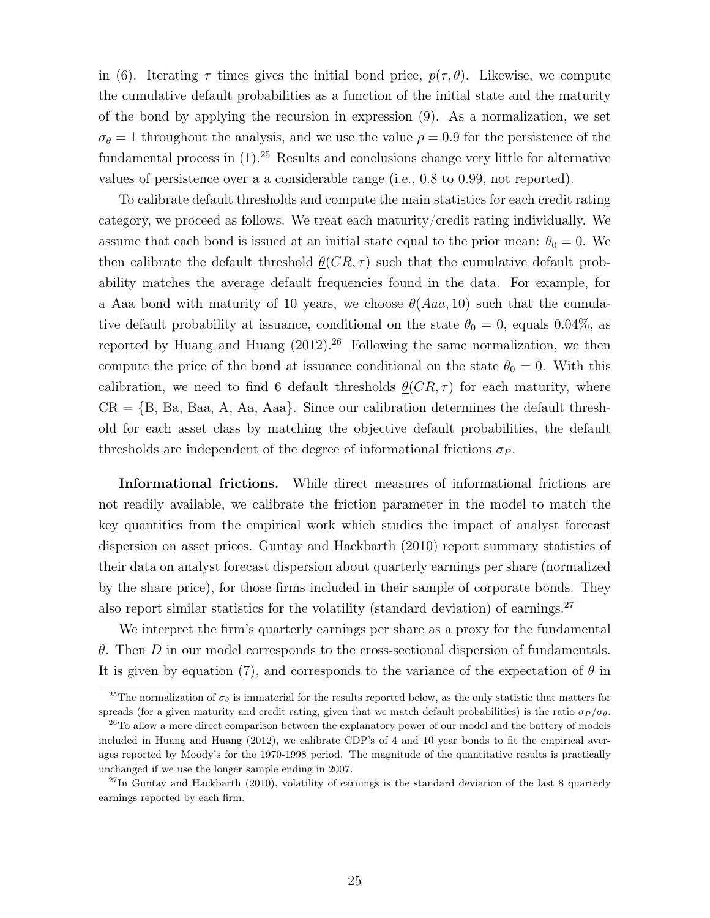in (6). Iterating  $\tau$  times gives the initial bond price,  $p(\tau, \theta)$ . Likewise, we compute the cumulative default probabilities as a function of the initial state and the maturity of the bond by applying the recursion in expression (9). As a normalization, we set  $\sigma_{\theta} = 1$  throughout the analysis, and we use the value  $\rho = 0.9$  for the persistence of the fundamental process in  $(1)$ <sup>25</sup> Results and conclusions change very little for alternative values of persistence over a a considerable range (i.e., 0.8 to 0.99, not reported).

To calibrate default thresholds and compute the main statistics for each credit rating category, we proceed as follows. We treat each maturity/credit rating individually. We assume that each bond is issued at an initial state equal to the prior mean:  $\theta_0 = 0$ . We then calibrate the default threshold  $\theta(CR, \tau)$  such that the cumulative default probability matches the average default frequencies found in the data. For example, for a Aaa bond with maturity of 10 years, we choose  $\theta(Aaa, 10)$  such that the cumulative default probability at issuance, conditional on the state  $\theta_0 = 0$ , equals 0.04%, as reported by Huang and Huang  $(2012)^{26}$  Following the same normalization, we then compute the price of the bond at issuance conditional on the state  $\theta_0 = 0$ . With this calibration, we need to find 6 default thresholds  $\theta(CR, \tau)$  for each maturity, where  $CR = \{B, Ba, Baa, A, Aa, Aaa\}$ . Since our calibration determines the default threshold for each asset class by matching the objective default probabilities, the default thresholds are independent of the degree of informational frictions  $\sigma_P$ .

Informational frictions. While direct measures of informational frictions are not readily available, we calibrate the friction parameter in the model to match the key quantities from the empirical work which studies the impact of analyst forecast dispersion on asset prices. Guntay and Hackbarth (2010) report summary statistics of their data on analyst forecast dispersion about quarterly earnings per share (normalized by the share price), for those firms included in their sample of corporate bonds. They also report similar statistics for the volatility (standard deviation) of earnings.<sup>27</sup>

We interpret the firm's quarterly earnings per share as a proxy for the fundamental  $\theta$ . Then D in our model corresponds to the cross-sectional dispersion of fundamentals. It is given by equation (7), and corresponds to the variance of the expectation of  $\theta$  in

<sup>&</sup>lt;sup>25</sup>The normalization of  $\sigma_{\theta}$  is immaterial for the results reported below, as the only statistic that matters for spreads (for a given maturity and credit rating, given that we match default probabilities) is the ratio  $\sigma_P/\sigma_{\theta}$ .

<sup>&</sup>lt;sup>26</sup>To allow a more direct comparison between the explanatory power of our model and the battery of models included in Huang and Huang (2012), we calibrate CDP's of 4 and 10 year bonds to fit the empirical averages reported by Moody's for the 1970-1998 period. The magnitude of the quantitative results is practically unchanged if we use the longer sample ending in 2007.

<sup>&</sup>lt;sup>27</sup>In Guntay and Hackbarth (2010), volatility of earnings is the standard deviation of the last 8 quarterly earnings reported by each firm.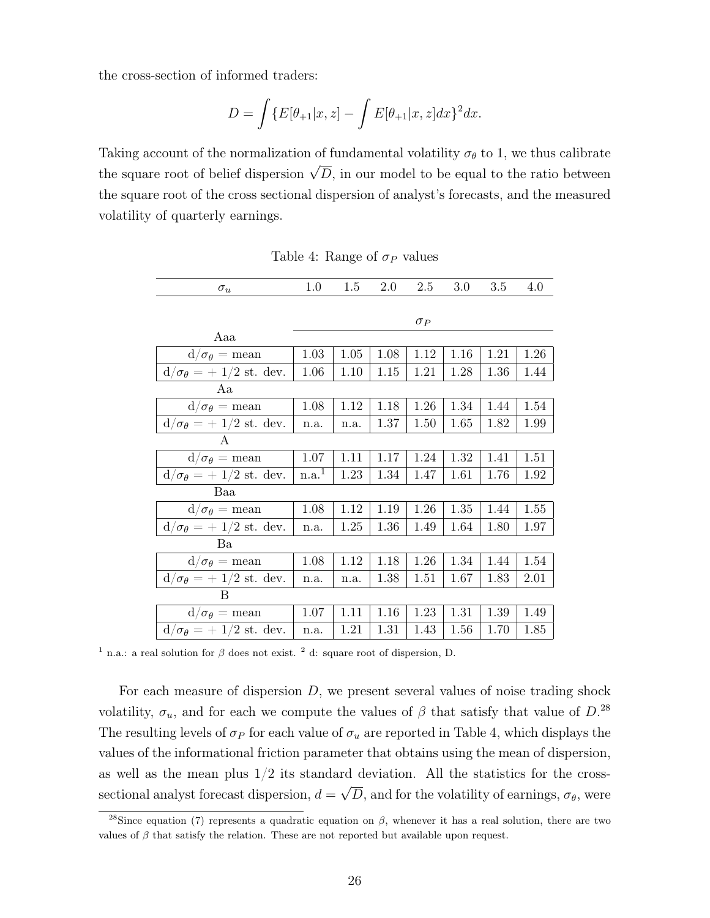the cross-section of informed traders:

$$
D = \int \{ E[\theta_{+1}|x, z] - \int E[\theta_{+1}|x, z] dx \}^2 dx.
$$

Taking account of the normalization of fundamental volatility  $\sigma_{\theta}$  to 1, we thus calibrate the square root of belief dispersion  $\sqrt{D}$ , in our model to be equal to the ratio between the square root of the cross sectional dispersion of analyst's forecasts, and the measured volatility of quarterly earnings.

| $\sigma_u$                          | 1.0               | $1.5\,$ | 2.0  | 2.5        | 3.0  | 3.5  | 4.0  |
|-------------------------------------|-------------------|---------|------|------------|------|------|------|
|                                     |                   |         |      |            |      |      |      |
|                                     |                   |         |      | $\sigma_P$ |      |      |      |
| Aaa                                 |                   |         |      |            |      |      |      |
| $d/\sigma_{\theta} = \text{mean}$   | 1.03              | 1.05    | 1.08 | 1.12       | 1.16 | 1.21 | 1.26 |
| $d/\sigma_{\theta} = +1/2$ st. dev. | 1.06              | 1.10    | 1.15 | 1.21       | 1.28 | 1.36 | 1.44 |
| Aa                                  |                   |         |      |            |      |      |      |
| $d/\sigma_{\theta} = \text{mean}$   | 1.08              | 1.12    | 1.18 | 1.26       | 1.34 | 1.44 | 1.54 |
| $d/\sigma_{\theta} = +1/2$ st. dev. | n.a.              | n.a.    | 1.37 | 1.50       | 1.65 | 1.82 | 1.99 |
| A                                   |                   |         |      |            |      |      |      |
| $d/\sigma_{\theta} = \text{mean}$   | 1.07              | 1.11    | 1.17 | 1.24       | 1.32 | 1.41 | 1.51 |
| $d/\sigma_{\theta} = +1/2$ st. dev. | n.a. <sup>1</sup> | 1.23    | 1.34 | 1.47       | 1.61 | 1.76 | 1.92 |
| Baa                                 |                   |         |      |            |      |      |      |
| $d/\sigma_{\theta} = \text{mean}$   | 1.08              | 1.12    | 1.19 | 1.26       | 1.35 | 1.44 | 1.55 |
| $d/\sigma_{\theta} = +1/2$ st. dev. | n.a.              | 1.25    | 1.36 | 1.49       | 1.64 | 1.80 | 1.97 |
| Ba                                  |                   |         |      |            |      |      |      |
| $d/\sigma_{\theta} = \text{mean}$   | 1.08              | 1.12    | 1.18 | 1.26       | 1.34 | 1.44 | 1.54 |
| $d/\sigma_{\theta} = +1/2$ st. dev. | n.a.              | n.a.    | 1.38 | 1.51       | 1.67 | 1.83 | 2.01 |
| B                                   |                   |         |      |            |      |      |      |
| $d/\sigma_{\theta} = \text{mean}$   | 1.07              | 1.11    | 1.16 | 1.23       | 1.31 | 1.39 | 1.49 |
| $d/\sigma_{\theta} = +1/2$ st. dev. | n.a.              | 1.21    | 1.31 | 1.43       | 1.56 | 1.70 | 1.85 |

Table 4: Range of  $\sigma_P$  values

<sup>1</sup> n.a.: a real solution for  $\beta$  does not exist. <sup>2</sup> d: square root of dispersion, D.

For each measure of dispersion  $D$ , we present several values of noise trading shock volatility,  $\sigma_u$ , and for each we compute the values of  $\beta$  that satisfy that value of  $D^{28}$ . The resulting levels of  $\sigma_P$  for each value of  $\sigma_u$  are reported in Table 4, which displays the values of the informational friction parameter that obtains using the mean of dispersion, as well as the mean plus  $1/2$  its standard deviation. All the statistics for the crosssectional analyst forecast dispersion,  $d =$ √ D, and for the volatility of earnings,  $\sigma_{\theta}$ , were

<sup>&</sup>lt;sup>28</sup>Since equation (7) represents a quadratic equation on  $\beta$ , whenever it has a real solution, there are two values of  $\beta$  that satisfy the relation. These are not reported but available upon request.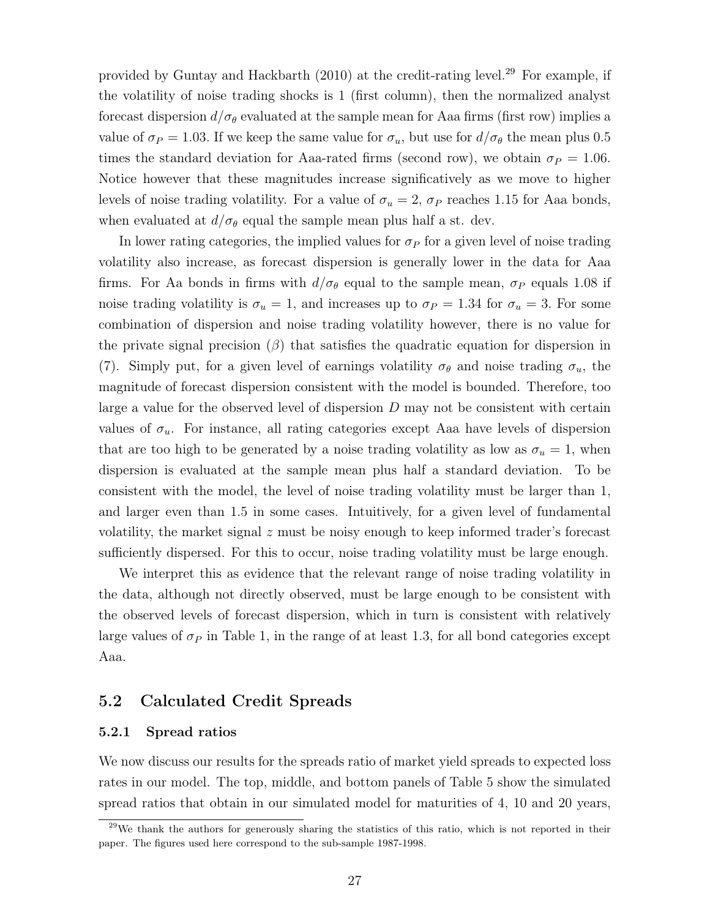provided by Guntay and Hackbarth  $(2010)$  at the credit-rating level.<sup>29</sup> For example, if the volatility of noise trading shocks is 1 (first column), then the normalized analyst forecast dispersion  $d/\sigma_\theta$  evaluated at the sample mean for Aaa firms (first row) implies a value of  $\sigma_P = 1.03$ . If we keep the same value for  $\sigma_u$ , but use for  $d/\sigma_\theta$  the mean plus 0.5 times the standard deviation for Aaa-rated firms (second row), we obtain  $\sigma_P = 1.06$ . Notice however that these magnitudes increase significatively as we move to higher levels of noise trading volatility. For a value of  $\sigma_u = 2$ ,  $\sigma_P$  reaches 1.15 for Aaa bonds, when evaluated at  $d/\sigma_{\theta}$  equal the sample mean plus half a st. dev.

In lower rating categories, the implied values for  $\sigma_P$  for a given level of noise trading volatility also increase, as forecast dispersion is generally lower in the data for Aaa firms. For Aa bonds in firms with  $d/\sigma_{\theta}$  equal to the sample mean,  $\sigma_{P}$  equals 1.08 if noise trading volatility is  $\sigma_u = 1$ , and increases up to  $\sigma_P = 1.34$  for  $\sigma_u = 3$ . For some combination of dispersion and noise trading volatility however, there is no value for the private signal precision  $(\beta)$  that satisfies the quadratic equation for dispersion in (7). Simply put, for a given level of earnings volatility  $\sigma_{\theta}$  and noise trading  $\sigma_{u}$ , the magnitude of forecast dispersion consistent with the model is bounded. Therefore, too large a value for the observed level of dispersion  $D$  may not be consistent with certain values of  $\sigma_u$ . For instance, all rating categories except Aaa have levels of dispersion that are too high to be generated by a noise trading volatility as low as  $\sigma_u = 1$ , when dispersion is evaluated at the sample mean plus half a standard deviation. To be consistent with the model, the level of noise trading volatility must be larger than 1, and larger even than 1.5 in some cases. Intuitively, for a given level of fundamental volatility, the market signal  $z$  must be noisy enough to keep informed trader's forecast sufficiently dispersed. For this to occur, noise trading volatility must be large enough.

We interpret this as evidence that the relevant range of noise trading volatility in the data, although not directly observed, must be large enough to be consistent with the observed levels of forecast dispersion, which in turn is consistent with relatively large values of  $\sigma_P$  in Table 1, in the range of at least 1.3, for all bond categories except Aaa.

### 5.2 Calculated Credit Spreads

#### 5.2.1 Spread ratios

We now discuss our results for the spreads ratio of market yield spreads to expected loss rates in our model. The top, middle, and bottom panels of Table 5 show the simulated spread ratios that obtain in our simulated model for maturities of 4, 10 and 20 years,

<sup>&</sup>lt;sup>29</sup>We thank the authors for generously sharing the statistics of this ratio, which is not reported in their paper. The figures used here correspond to the sub-sample 1987-1998.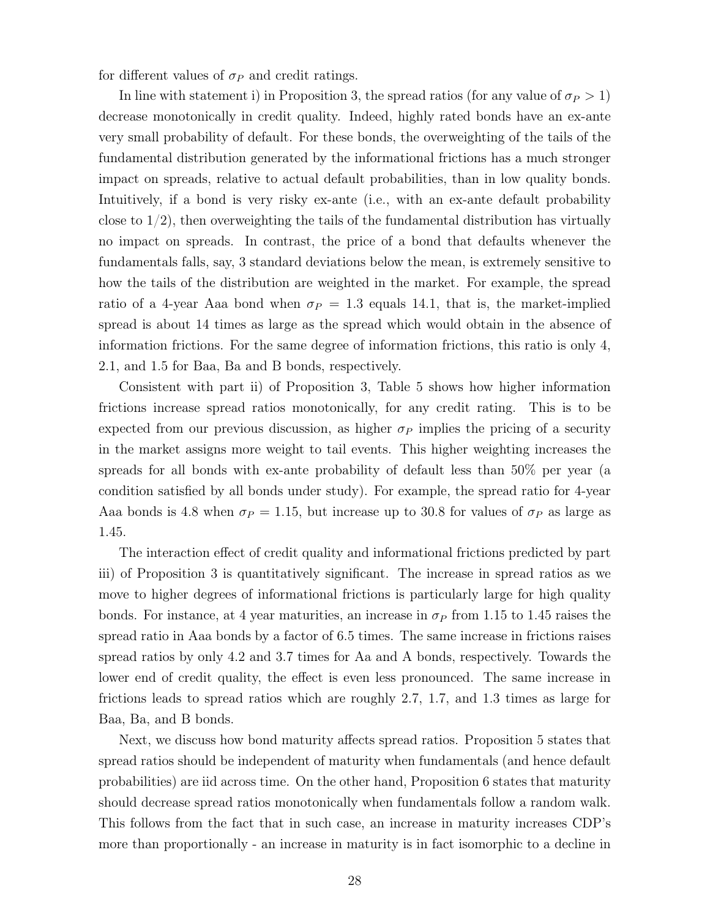for different values of  $\sigma_P$  and credit ratings.

In line with statement i) in Proposition 3, the spread ratios (for any value of  $\sigma_P > 1$ ) decrease monotonically in credit quality. Indeed, highly rated bonds have an ex-ante very small probability of default. For these bonds, the overweighting of the tails of the fundamental distribution generated by the informational frictions has a much stronger impact on spreads, relative to actual default probabilities, than in low quality bonds. Intuitively, if a bond is very risky ex-ante (i.e., with an ex-ante default probability close to  $1/2$ , then overweighting the tails of the fundamental distribution has virtually no impact on spreads. In contrast, the price of a bond that defaults whenever the fundamentals falls, say, 3 standard deviations below the mean, is extremely sensitive to how the tails of the distribution are weighted in the market. For example, the spread ratio of a 4-year Aaa bond when  $\sigma_P = 1.3$  equals 14.1, that is, the market-implied spread is about 14 times as large as the spread which would obtain in the absence of information frictions. For the same degree of information frictions, this ratio is only 4, 2.1, and 1.5 for Baa, Ba and B bonds, respectively.

Consistent with part ii) of Proposition 3, Table 5 shows how higher information frictions increase spread ratios monotonically, for any credit rating. This is to be expected from our previous discussion, as higher  $\sigma_P$  implies the pricing of a security in the market assigns more weight to tail events. This higher weighting increases the spreads for all bonds with ex-ante probability of default less than 50% per year (a condition satisfied by all bonds under study). For example, the spread ratio for 4-year Aaa bonds is 4.8 when  $\sigma_P = 1.15$ , but increase up to 30.8 for values of  $\sigma_P$  as large as 1.45.

The interaction effect of credit quality and informational frictions predicted by part iii) of Proposition 3 is quantitatively significant. The increase in spread ratios as we move to higher degrees of informational frictions is particularly large for high quality bonds. For instance, at 4 year maturities, an increase in  $\sigma_P$  from 1.15 to 1.45 raises the spread ratio in Aaa bonds by a factor of 6.5 times. The same increase in frictions raises spread ratios by only 4.2 and 3.7 times for Aa and A bonds, respectively. Towards the lower end of credit quality, the effect is even less pronounced. The same increase in frictions leads to spread ratios which are roughly 2.7, 1.7, and 1.3 times as large for Baa, Ba, and B bonds.

Next, we discuss how bond maturity affects spread ratios. Proposition 5 states that spread ratios should be independent of maturity when fundamentals (and hence default probabilities) are iid across time. On the other hand, Proposition 6 states that maturity should decrease spread ratios monotonically when fundamentals follow a random walk. This follows from the fact that in such case, an increase in maturity increases CDP's more than proportionally - an increase in maturity is in fact isomorphic to a decline in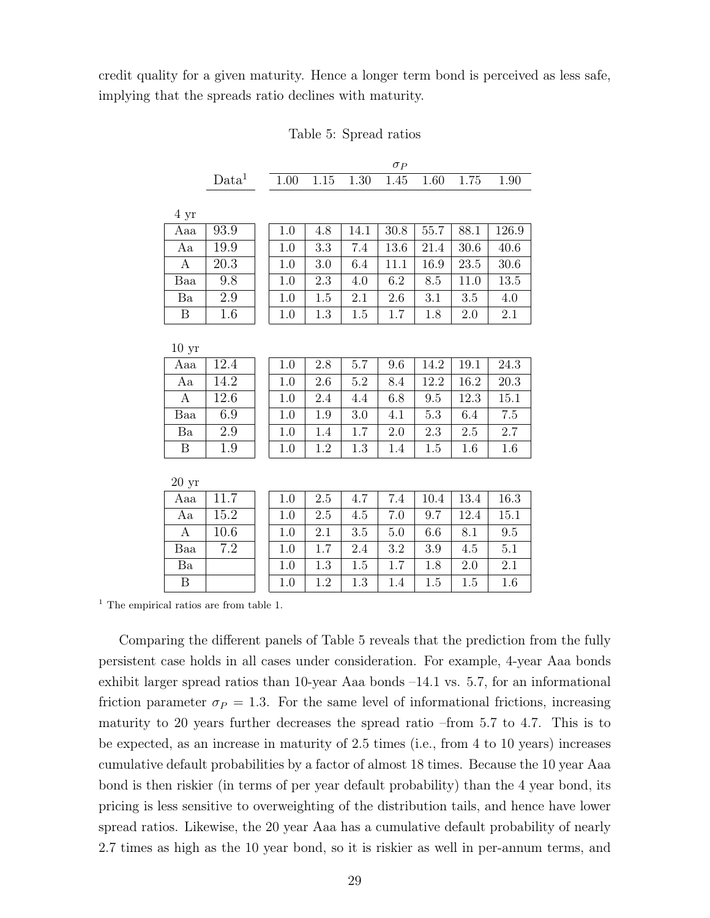credit quality for a given maturity. Hence a longer term bond is perceived as less safe, implying that the spreads ratio declines with maturity.

Table 5: Spread ratios

|                  |                 |          |          |         | $\sigma_P$ |      |         |          |
|------------------|-----------------|----------|----------|---------|------------|------|---------|----------|
|                  | $\text{Data}^1$ | $1.00\,$ | $1.15\,$ | 1.30    | 1.45       | 1.60 | 1.75    | 1.90     |
|                  |                 |          |          |         |            |      |         |          |
| 4 yr             |                 |          |          |         |            |      |         |          |
| Aaa              | 93.9            | 1.0      | 4.8      | 14.1    | 30.8       | 55.7 | 88.1    | 126.9    |
| Aa               | 19.9            | 1.0      | 3.3      | 7.4     | 13.6       | 21.4 | 30.6    | 40.6     |
| $\mathbf{A}$     | 20.3            | 1.0      | 3.0      | 6.4     | 11.1       | 16.9 | 23.5    | 30.6     |
| Baa              | 9.8             | 1.0      | 2.3      | 4.0     | 6.2        | 8.5  | 11.0    | 13.5     |
| Ba               | 2.9             | 1.0      | 1.5      | 2.1     | 2.6        | 3.1  | 3.5     | 4.0      |
| B                | 1.6             | 1.0      | 1.3      | 1.5     | 1.7        | 1.8  | 2.0     | 2.1      |
|                  |                 |          |          |         |            |      |         |          |
| 10 <sub>yr</sub> |                 |          |          |         |            |      |         |          |
| Aaa              | 12.4            | $1.0\,$  | $2.8\,$  | 5.7     | 9.6        | 14.2 | 19.1    | $24.3\,$ |
| Aa               | 14.2            | 1.0      | 2.6      | 5.2     | 8.4        | 12.2 | 16.2    | 20.3     |
| А                | 12.6            | 1.0      | 2.4      | 4.4     | 6.8        | 9.5  | 12.3    | 15.1     |
| Baa              | 6.9             | 1.0      | 1.9      | 3.0     | 4.1        | 5.3  | 6.4     | 7.5      |
| Ba               | 2.9             | 1.0      | 1.4      | 1.7     | 2.0        | 2.3  | 2.5     | $2.7\,$  |
| B                | 1.9             | 1.0      | 1.2      | $1.3\,$ | 1.4        | 1.5  | 1.6     | 1.6      |
|                  |                 |          |          |         |            |      |         |          |
| 20~yr            |                 |          |          |         |            |      |         |          |
| Aaa              | 11.7            | 1.0      | $2.5\,$  | 4.7     | $7.4\,$    | 10.4 | 13.4    | 16.3     |
| Aa               | 15.2            | 1.0      | $2.5\,$  | 4.5     | 7.0        | 9.7  | 12.4    | 15.1     |
| А                | 10.6            | 1.0      | 2.1      | 3.5     | 5.0        | 6.6  | 8.1     | 9.5      |
| Baa              | 7.2             | 1.0      | 1.7      | 2.4     | 3.2        | 3.9  | 4.5     | 5.1      |
| Ba               |                 | 1.0      | 1.3      | 1.5     | $1.7\,$    | 1.8  | $2.0\,$ | 2.1      |

<sup>1</sup> The empirical ratios are from table 1.

Comparing the different panels of Table 5 reveals that the prediction from the fully persistent case holds in all cases under consideration. For example, 4-year Aaa bonds exhibit larger spread ratios than 10-year Aaa bonds –14.1 vs. 5.7, for an informational friction parameter  $\sigma_P = 1.3$ . For the same level of informational frictions, increasing maturity to 20 years further decreases the spread ratio –from 5.7 to 4.7. This is to be expected, as an increase in maturity of 2.5 times (i.e., from 4 to 10 years) increases cumulative default probabilities by a factor of almost 18 times. Because the 10 year Aaa bond is then riskier (in terms of per year default probability) than the 4 year bond, its pricing is less sensitive to overweighting of the distribution tails, and hence have lower spread ratios. Likewise, the 20 year Aaa has a cumulative default probability of nearly 2.7 times as high as the 10 year bond, so it is riskier as well in per-annum terms, and

B | | 1.0 | 1.2 | 1.3 | 1.4 | 1.5 | 1.5 | 1.6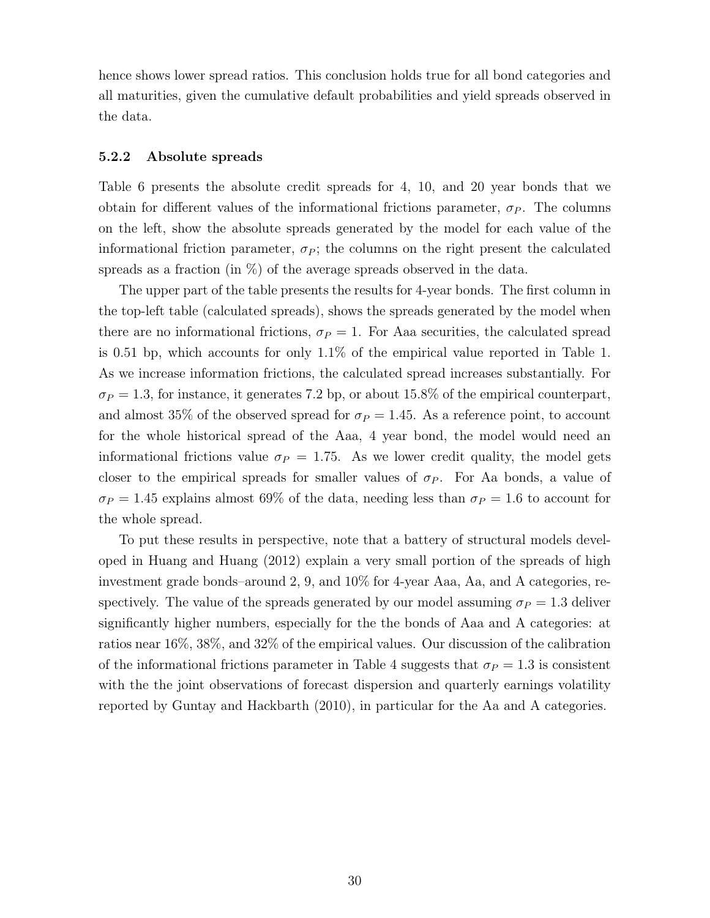hence shows lower spread ratios. This conclusion holds true for all bond categories and all maturities, given the cumulative default probabilities and yield spreads observed in the data.

#### 5.2.2 Absolute spreads

Table 6 presents the absolute credit spreads for 4, 10, and 20 year bonds that we obtain for different values of the informational frictions parameter,  $\sigma_P$ . The columns on the left, show the absolute spreads generated by the model for each value of the informational friction parameter,  $\sigma_P$ ; the columns on the right present the calculated spreads as a fraction (in  $\%$ ) of the average spreads observed in the data.

The upper part of the table presents the results for 4-year bonds. The first column in the top-left table (calculated spreads), shows the spreads generated by the model when there are no informational frictions,  $\sigma_P = 1$ . For Aaa securities, the calculated spread is 0.51 bp, which accounts for only 1.1% of the empirical value reported in Table 1. As we increase information frictions, the calculated spread increases substantially. For  $\sigma_P = 1.3$ , for instance, it generates 7.2 bp, or about 15.8% of the empirical counterpart, and almost 35% of the observed spread for  $\sigma_P = 1.45$ . As a reference point, to account for the whole historical spread of the Aaa, 4 year bond, the model would need an informational frictions value  $\sigma_P = 1.75$ . As we lower credit quality, the model gets closer to the empirical spreads for smaller values of  $\sigma_P$ . For Aa bonds, a value of  $\sigma_P = 1.45$  explains almost 69% of the data, needing less than  $\sigma_P = 1.6$  to account for the whole spread.

To put these results in perspective, note that a battery of structural models developed in Huang and Huang (2012) explain a very small portion of the spreads of high investment grade bonds–around 2, 9, and 10% for 4-year Aaa, Aa, and A categories, respectively. The value of the spreads generated by our model assuming  $\sigma_P = 1.3$  deliver significantly higher numbers, especially for the the bonds of Aaa and A categories: at ratios near 16%, 38%, and 32% of the empirical values. Our discussion of the calibration of the informational frictions parameter in Table 4 suggests that  $\sigma_P = 1.3$  is consistent with the the joint observations of forecast dispersion and quarterly earnings volatility reported by Guntay and Hackbarth (2010), in particular for the Aa and A categories.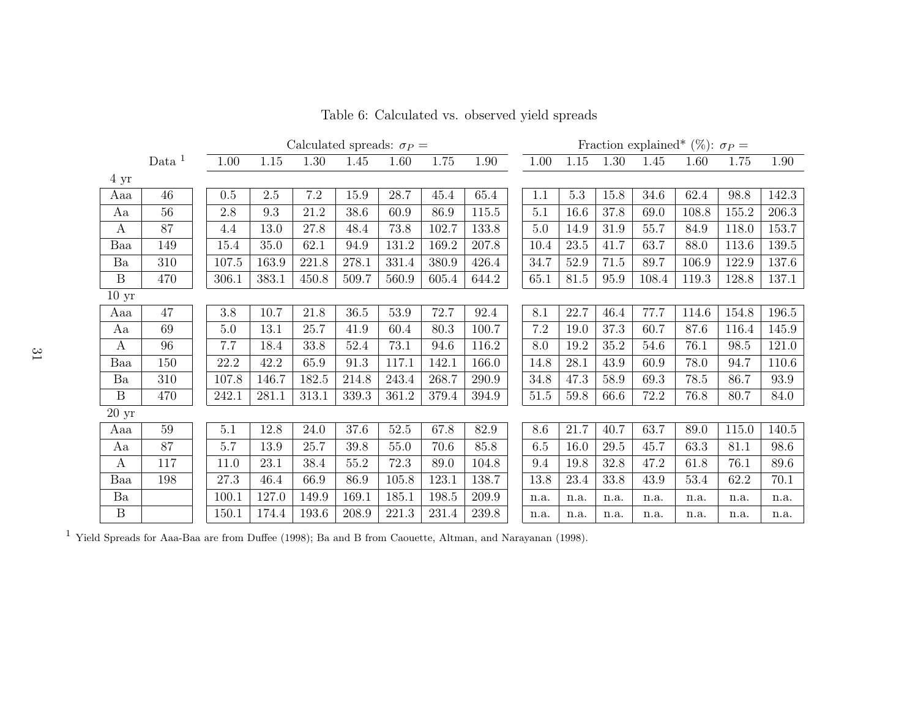|                  |          | Calculated spreads: $\sigma_P =$ |          |           |          |       |          |       |       | Fraction explained* (%): $\sigma_P =$ |         |      |          |       |          |       |           |
|------------------|----------|----------------------------------|----------|-----------|----------|-------|----------|-------|-------|---------------------------------------|---------|------|----------|-------|----------|-------|-----------|
|                  | Data $1$ |                                  | $1.00\,$ | 1.15      | $1.30\,$ | 1.45  | 1.60     | 1.75  | 1.90  |                                       | 1.00    | 1.15 | 1.30     | 1.45  | 1.60     | 1.75  | 1.90      |
| $4 \mathrm{yr}$  |          |                                  |          |           |          |       |          |       |       |                                       |         |      |          |       |          |       |           |
| Aaa              | 46       |                                  | 0.5      | $2.5\,$   | $7.2\,$  | 15.9  | 28.7     | 45.4  | 65.4  |                                       | 1.1     | 5.3  | 15.8     | 34.6  | 62.4     | 98.8  | 142.3     |
| Aa               | 56       |                                  | 2.8      | $\rm 9.3$ | 21.2     | 38.6  | 60.9     | 86.9  | 115.5 |                                       | 5.1     | 16.6 | 37.8     | 69.0  | 108.8    | 155.2 | 206.3     |
| $\boldsymbol{A}$ | 87       |                                  | 4.4      | 13.0      | 27.8     | 48.4  | 73.8     | 102.7 | 133.8 |                                       | 5.0     | 14.9 | $31.9\,$ | 55.7  | 84.9     | 118.0 | 153.7     |
| Baa              | 149      |                                  | 15.4     | 35.0      | 62.1     | 94.9  | 131.2    | 169.2 | 207.8 |                                       | 10.4    | 23.5 | 41.7     | 63.7  | 88.0     | 113.6 | $139.5\,$ |
| Ba               | 310      |                                  | 107.5    | 163.9     | 221.8    | 278.1 | 331.4    | 380.9 | 426.4 |                                       | 34.7    | 52.9 | 71.5     | 89.7  | 106.9    | 122.9 | 137.6     |
| $\boldsymbol{B}$ | 470      |                                  | 306.1    | 383.1     | 450.8    | 509.7 | 560.9    | 605.4 | 644.2 |                                       | 65.1    | 81.5 | 95.9     | 108.4 | 119.3    | 128.8 | 137.1     |
| $10~{\rm yr}$    |          |                                  |          |           |          |       |          |       |       |                                       |         |      |          |       |          |       |           |
| Aaa              | 47       |                                  | $3.8\,$  | 10.7      | 21.8     | 36.5  | $53.9\,$ | 72.7  | 92.4  |                                       | 8.1     | 22.7 | 46.4     | 77.7  | 114.6    | 154.8 | 196.5     |
| Aa               | 69       |                                  | 5.0      | 13.1      | 25.7     | 41.9  | 60.4     | 80.3  | 100.7 |                                       | 7.2     | 19.0 | 37.3     | 60.7  | 87.6     | 116.4 | 145.9     |
| A                | 96       |                                  | $7.7\,$  | 18.4      | 33.8     | 52.4  | 73.1     | 94.6  | 116.2 |                                       | 8.0     | 19.2 | $35.2\,$ | 54.6  | 76.1     | 98.5  | 121.0     |
| Baa              | 150      |                                  | 22.2     | 42.2      | 65.9     | 91.3  | 117.1    | 142.1 | 166.0 |                                       | 14.8    | 28.1 | 43.9     | 60.9  | 78.0     | 94.7  | 110.6     |
| Ba               | 310      |                                  | 107.8    | 146.7     | 182.5    | 214.8 | 243.4    | 268.7 | 290.9 |                                       | 34.8    | 47.3 | $58.9\,$ | 69.3  | $78.5\,$ | 86.7  | 93.9      |
| $\boldsymbol{B}$ | 470      |                                  | 242.1    | 281.1     | 313.1    | 339.3 | 361.2    | 379.4 | 394.9 |                                       | 51.5    | 59.8 | 66.6     | 72.2  | 76.8     | 80.7  | 84.0      |
| 20~yr            |          |                                  |          |           |          |       |          |       |       |                                       |         |      |          |       |          |       |           |
| Aaa              | 59       |                                  | $5.1\,$  | 12.8      | 24.0     | 37.6  | $52.5\,$ | 67.8  | 82.9  |                                       | 8.6     | 21.7 | 40.7     | 63.7  | 89.0     | 115.0 | 140.5     |
| Aa               | 87       |                                  | 5.7      | 13.9      | 25.7     | 39.8  | 55.0     | 70.6  | 85.8  |                                       | $6.5\,$ | 16.0 | 29.5     | 45.7  | 63.3     | 81.1  | 98.6      |
| A                | 117      |                                  | 11.0     | 23.1      | 38.4     | 55.2  | 72.3     | 89.0  | 104.8 |                                       | 9.4     | 19.8 | 32.8     | 47.2  | 61.8     | 76.1  | 89.6      |
| Baa              | 198      |                                  | $27.3\,$ | 46.4      | 66.9     | 86.9  | 105.8    | 123.1 | 138.7 |                                       | 13.8    | 23.4 | 33.8     | 43.9  | $53.4\,$ | 62.2  | 70.1      |
| Ba               |          |                                  | 100.1    | 127.0     | 149.9    | 169.1 | 185.1    | 198.5 | 209.9 |                                       | n.a.    | n.a. | n.a.     | n.a.  | n.a.     | n.a.  | n.a.      |
| B                |          |                                  | 150.1    | 174.4     | 193.6    | 208.9 | 221.3    | 231.4 | 239.8 |                                       | n.a.    | n.a. | n.a.     | n.a.  | n.a.     | n.a.  | n.a.      |

 $^{1}$  Yield Spreads for Aaa-Baa are from Duffee (1998); Ba and B from Caouette, Altman, and Narayanan (1998).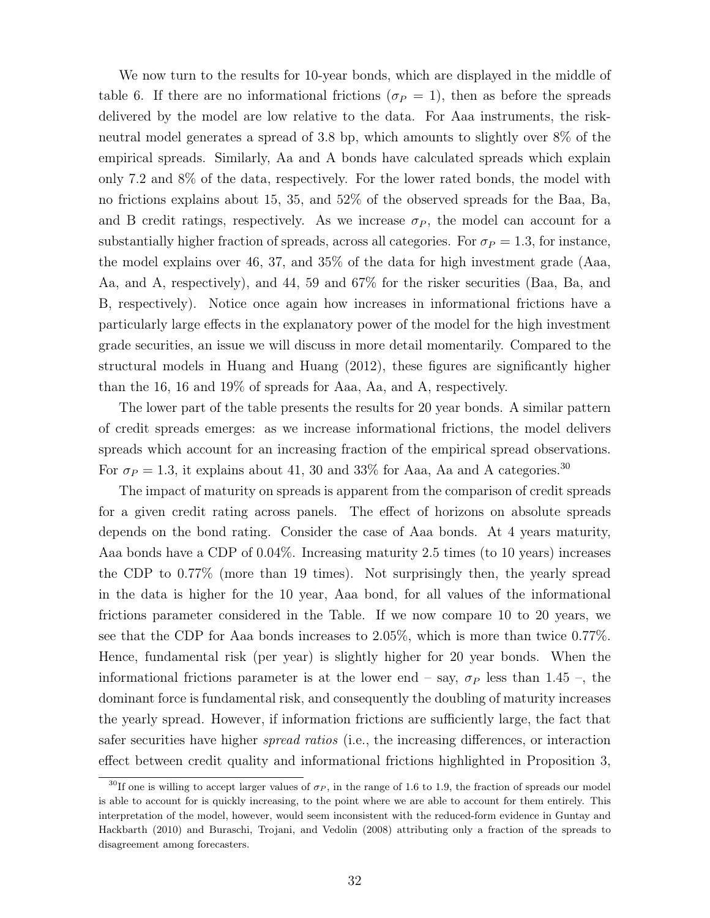We now turn to the results for 10-year bonds, which are displayed in the middle of table 6. If there are no informational frictions ( $\sigma_P = 1$ ), then as before the spreads delivered by the model are low relative to the data. For Aaa instruments, the riskneutral model generates a spread of 3.8 bp, which amounts to slightly over 8% of the empirical spreads. Similarly, Aa and A bonds have calculated spreads which explain only 7.2 and 8% of the data, respectively. For the lower rated bonds, the model with no frictions explains about 15, 35, and 52% of the observed spreads for the Baa, Ba, and B credit ratings, respectively. As we increase  $\sigma_P$ , the model can account for a substantially higher fraction of spreads, across all categories. For  $\sigma_P = 1.3$ , for instance, the model explains over 46, 37, and 35% of the data for high investment grade (Aaa, Aa, and A, respectively), and 44, 59 and 67% for the risker securities (Baa, Ba, and B, respectively). Notice once again how increases in informational frictions have a particularly large effects in the explanatory power of the model for the high investment grade securities, an issue we will discuss in more detail momentarily. Compared to the structural models in Huang and Huang (2012), these figures are significantly higher than the 16, 16 and 19% of spreads for Aaa, Aa, and A, respectively.

The lower part of the table presents the results for 20 year bonds. A similar pattern of credit spreads emerges: as we increase informational frictions, the model delivers spreads which account for an increasing fraction of the empirical spread observations. For  $\sigma_P = 1.3$ , it explains about 41, 30 and 33% for Aaa, Aa and A categories.<sup>30</sup>

The impact of maturity on spreads is apparent from the comparison of credit spreads for a given credit rating across panels. The effect of horizons on absolute spreads depends on the bond rating. Consider the case of Aaa bonds. At 4 years maturity, Aaa bonds have a CDP of 0.04%. Increasing maturity 2.5 times (to 10 years) increases the CDP to 0.77% (more than 19 times). Not surprisingly then, the yearly spread in the data is higher for the 10 year, Aaa bond, for all values of the informational frictions parameter considered in the Table. If we now compare 10 to 20 years, we see that the CDP for Aaa bonds increases to 2.05%, which is more than twice 0.77%. Hence, fundamental risk (per year) is slightly higher for 20 year bonds. When the informational frictions parameter is at the lower end – say,  $\sigma_P$  less than 1.45 –, the dominant force is fundamental risk, and consequently the doubling of maturity increases the yearly spread. However, if information frictions are sufficiently large, the fact that safer securities have higher spread ratios (i.e., the increasing differences, or interaction effect between credit quality and informational frictions highlighted in Proposition 3,

<sup>&</sup>lt;sup>30</sup>If one is willing to accept larger values of  $\sigma_P$ , in the range of 1.6 to 1.9, the fraction of spreads our model is able to account for is quickly increasing, to the point where we are able to account for them entirely. This interpretation of the model, however, would seem inconsistent with the reduced-form evidence in Guntay and Hackbarth (2010) and Buraschi, Trojani, and Vedolin (2008) attributing only a fraction of the spreads to disagreement among forecasters.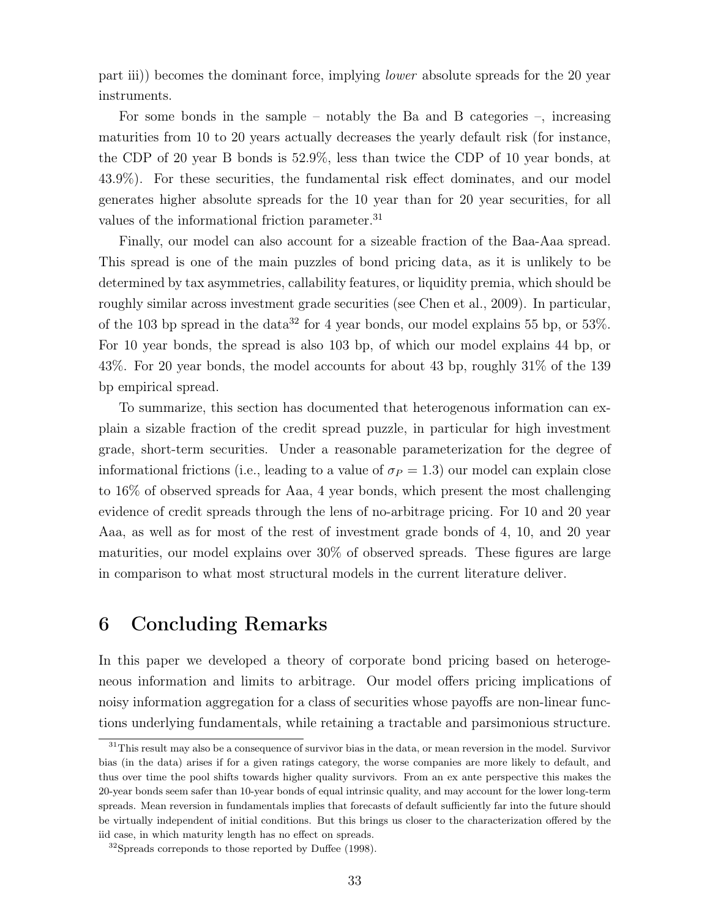part iii)) becomes the dominant force, implying lower absolute spreads for the 20 year instruments.

For some bonds in the sample – notably the Ba and B categories –, increasing maturities from 10 to 20 years actually decreases the yearly default risk (for instance, the CDP of 20 year B bonds is 52.9%, less than twice the CDP of 10 year bonds, at 43.9%). For these securities, the fundamental risk effect dominates, and our model generates higher absolute spreads for the 10 year than for 20 year securities, for all values of the informational friction parameter.<sup>31</sup>

Finally, our model can also account for a sizeable fraction of the Baa-Aaa spread. This spread is one of the main puzzles of bond pricing data, as it is unlikely to be determined by tax asymmetries, callability features, or liquidity premia, which should be roughly similar across investment grade securities (see Chen et al., 2009). In particular, of the 103 bp spread in the data<sup>32</sup> for 4 year bonds, our model explains 55 bp, or 53%. For 10 year bonds, the spread is also 103 bp, of which our model explains 44 bp, or 43%. For 20 year bonds, the model accounts for about 43 bp, roughly 31% of the 139 bp empirical spread.

To summarize, this section has documented that heterogenous information can explain a sizable fraction of the credit spread puzzle, in particular for high investment grade, short-term securities. Under a reasonable parameterization for the degree of informational frictions (i.e., leading to a value of  $\sigma_P = 1.3$ ) our model can explain close to 16% of observed spreads for Aaa, 4 year bonds, which present the most challenging evidence of credit spreads through the lens of no-arbitrage pricing. For 10 and 20 year Aaa, as well as for most of the rest of investment grade bonds of 4, 10, and 20 year maturities, our model explains over 30% of observed spreads. These figures are large in comparison to what most structural models in the current literature deliver.

# 6 Concluding Remarks

In this paper we developed a theory of corporate bond pricing based on heterogeneous information and limits to arbitrage. Our model offers pricing implications of noisy information aggregation for a class of securities whose payoffs are non-linear functions underlying fundamentals, while retaining a tractable and parsimonious structure.

<sup>&</sup>lt;sup>31</sup>This result may also be a consequence of survivor bias in the data, or mean reversion in the model. Survivor bias (in the data) arises if for a given ratings category, the worse companies are more likely to default, and thus over time the pool shifts towards higher quality survivors. From an ex ante perspective this makes the 20-year bonds seem safer than 10-year bonds of equal intrinsic quality, and may account for the lower long-term spreads. Mean reversion in fundamentals implies that forecasts of default sufficiently far into the future should be virtually independent of initial conditions. But this brings us closer to the characterization offered by the iid case, in which maturity length has no effect on spreads.

 $32$ Spreads correponds to those reported by Duffee (1998).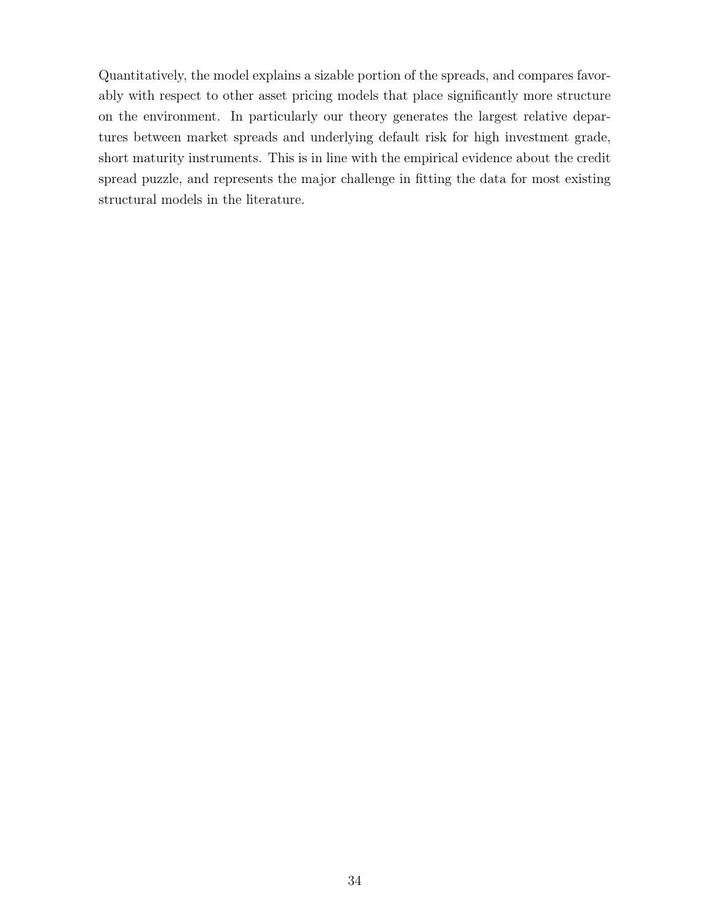Quantitatively, the model explains a sizable portion of the spreads, and compares favorably with respect to other asset pricing models that place significantly more structure on the environment. In particularly our theory generates the largest relative departures between market spreads and underlying default risk for high investment grade, short maturity instruments. This is in line with the empirical evidence about the credit spread puzzle, and represents the major challenge in fitting the data for most existing structural models in the literature.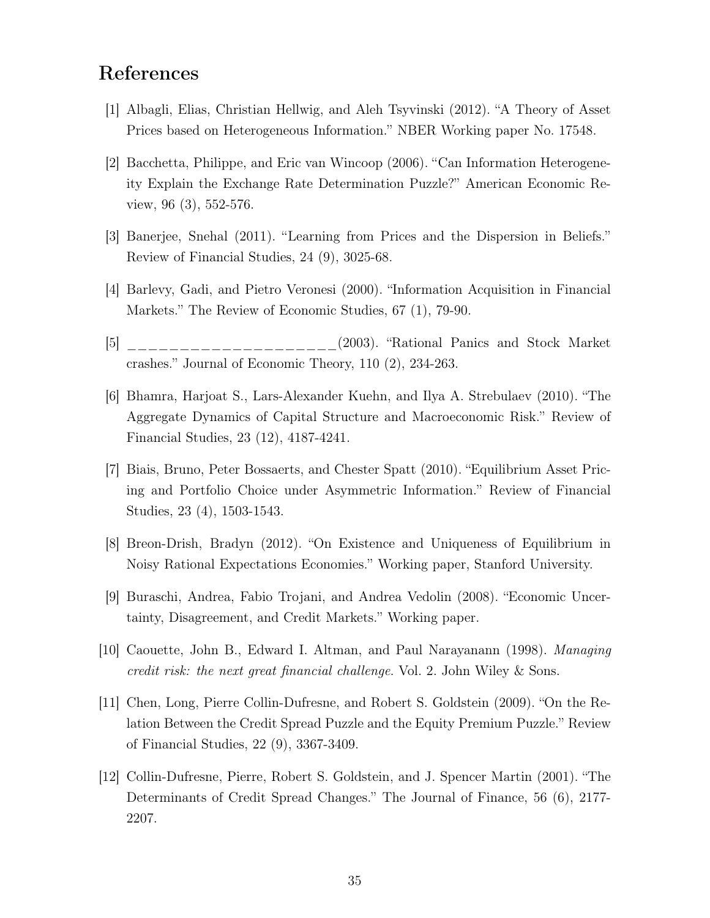# References

- [1] Albagli, Elias, Christian Hellwig, and Aleh Tsyvinski (2012). "A Theory of Asset Prices based on Heterogeneous Information." NBER Working paper No. 17548.
- [2] Bacchetta, Philippe, and Eric van Wincoop (2006). "Can Information Heterogeneity Explain the Exchange Rate Determination Puzzle?" American Economic Review, 96 (3), 552-576.
- [3] Banerjee, Snehal (2011). "Learning from Prices and the Dispersion in Beliefs." Review of Financial Studies, 24 (9), 3025-68.
- [4] Barlevy, Gadi, and Pietro Veronesi (2000). "Information Acquisition in Financial Markets." The Review of Economic Studies, 67 (1), 79-90.
- [5] [5] [5] (2003). "Rational Panics and Stock Market crashes." Journal of Economic Theory, 110 (2), 234-263.
- [6] Bhamra, Harjoat S., Lars-Alexander Kuehn, and Ilya A. Strebulaev (2010). "The Aggregate Dynamics of Capital Structure and Macroeconomic Risk." Review of Financial Studies, 23 (12), 4187-4241.
- [7] Biais, Bruno, Peter Bossaerts, and Chester Spatt (2010). "Equilibrium Asset Pricing and Portfolio Choice under Asymmetric Information." Review of Financial Studies, 23 (4), 1503-1543.
- [8] Breon-Drish, Bradyn (2012). "On Existence and Uniqueness of Equilibrium in Noisy Rational Expectations Economies." Working paper, Stanford University.
- [9] Buraschi, Andrea, Fabio Trojani, and Andrea Vedolin (2008). "Economic Uncertainty, Disagreement, and Credit Markets." Working paper.
- [10] Caouette, John B., Edward I. Altman, and Paul Narayanann (1998). Managing credit risk: the next great financial challenge. Vol. 2. John Wiley & Sons.
- [11] Chen, Long, Pierre Collin-Dufresne, and Robert S. Goldstein (2009). "On the Relation Between the Credit Spread Puzzle and the Equity Premium Puzzle." Review of Financial Studies, 22 (9), 3367-3409.
- [12] Collin-Dufresne, Pierre, Robert S. Goldstein, and J. Spencer Martin (2001). "The Determinants of Credit Spread Changes." The Journal of Finance, 56 (6), 2177- 2207.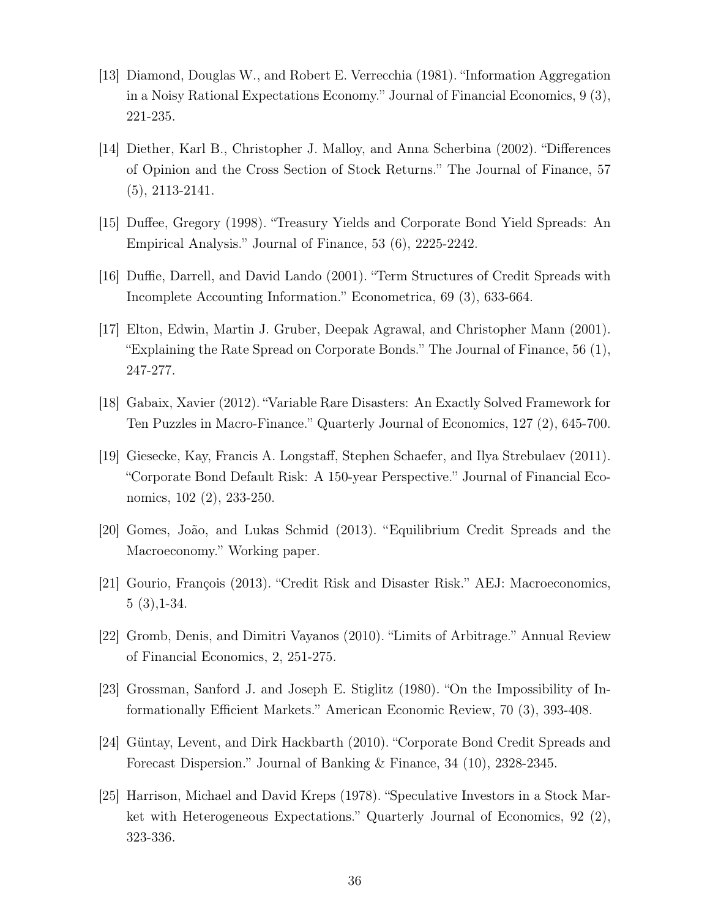- [13] Diamond, Douglas W., and Robert E. Verrecchia (1981). "Information Aggregation in a Noisy Rational Expectations Economy." Journal of Financial Economics, 9 (3), 221-235.
- [14] Diether, Karl B., Christopher J. Malloy, and Anna Scherbina (2002). "Differences of Opinion and the Cross Section of Stock Returns." The Journal of Finance, 57 (5), 2113-2141.
- [15] Duffee, Gregory (1998). "Treasury Yields and Corporate Bond Yield Spreads: An Empirical Analysis." Journal of Finance, 53 (6), 2225-2242.
- [16] Duffie, Darrell, and David Lando (2001). "Term Structures of Credit Spreads with Incomplete Accounting Information." Econometrica, 69 (3), 633-664.
- [17] Elton, Edwin, Martin J. Gruber, Deepak Agrawal, and Christopher Mann (2001). "Explaining the Rate Spread on Corporate Bonds." The Journal of Finance, 56 (1), 247-277.
- [18] Gabaix, Xavier (2012). "Variable Rare Disasters: An Exactly Solved Framework for Ten Puzzles in Macro-Finance." Quarterly Journal of Economics, 127 (2), 645-700.
- [19] Giesecke, Kay, Francis A. Longstaff, Stephen Schaefer, and Ilya Strebulaev (2011). "Corporate Bond Default Risk: A 150-year Perspective." Journal of Financial Economics, 102 (2), 233-250.
- [20] Gomes, João, and Lukas Schmid (2013). "Equilibrium Credit Spreads and the Macroeconomy." Working paper.
- [21] Gourio, François (2013). "Credit Risk and Disaster Risk." AEJ: Macroeconomics, 5 (3),1-34.
- [22] Gromb, Denis, and Dimitri Vayanos (2010). "Limits of Arbitrage." Annual Review of Financial Economics, 2, 251-275.
- [23] Grossman, Sanford J. and Joseph E. Stiglitz (1980). "On the Impossibility of Informationally Efficient Markets." American Economic Review, 70 (3), 393-408.
- [24] Güntay, Levent, and Dirk Hackbarth (2010). "Corporate Bond Credit Spreads and Forecast Dispersion." Journal of Banking & Finance, 34 (10), 2328-2345.
- [25] Harrison, Michael and David Kreps (1978). "Speculative Investors in a Stock Market with Heterogeneous Expectations." Quarterly Journal of Economics, 92 (2), 323-336.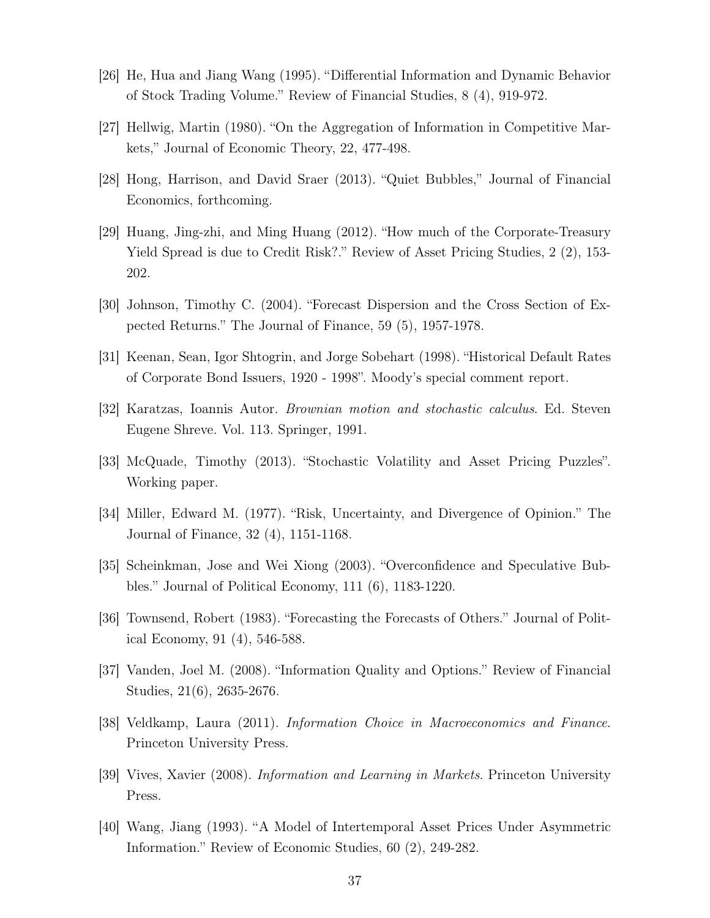- [26] He, Hua and Jiang Wang (1995). "Differential Information and Dynamic Behavior of Stock Trading Volume." Review of Financial Studies, 8 (4), 919-972.
- [27] Hellwig, Martin (1980). "On the Aggregation of Information in Competitive Markets," Journal of Economic Theory, 22, 477-498.
- [28] Hong, Harrison, and David Sraer (2013). "Quiet Bubbles," Journal of Financial Economics, forthcoming.
- [29] Huang, Jing-zhi, and Ming Huang (2012). "How much of the Corporate-Treasury Yield Spread is due to Credit Risk?." Review of Asset Pricing Studies, 2 (2), 153- 202.
- [30] Johnson, Timothy C. (2004). "Forecast Dispersion and the Cross Section of Expected Returns." The Journal of Finance, 59 (5), 1957-1978.
- [31] Keenan, Sean, Igor Shtogrin, and Jorge Sobehart (1998). "Historical Default Rates of Corporate Bond Issuers, 1920 - 1998". Moody's special comment report.
- [32] Karatzas, Ioannis Autor. Brownian motion and stochastic calculus. Ed. Steven Eugene Shreve. Vol. 113. Springer, 1991.
- [33] McQuade, Timothy (2013). "Stochastic Volatility and Asset Pricing Puzzles". Working paper.
- [34] Miller, Edward M. (1977). "Risk, Uncertainty, and Divergence of Opinion." The Journal of Finance, 32 (4), 1151-1168.
- [35] Scheinkman, Jose and Wei Xiong (2003). "Overconfidence and Speculative Bubbles." Journal of Political Economy, 111 (6), 1183-1220.
- [36] Townsend, Robert (1983). "Forecasting the Forecasts of Others." Journal of Political Economy, 91 (4), 546-588.
- [37] Vanden, Joel M. (2008). "Information Quality and Options." Review of Financial Studies, 21(6), 2635-2676.
- [38] Veldkamp, Laura (2011). Information Choice in Macroeconomics and Finance. Princeton University Press.
- [39] Vives, Xavier (2008). Information and Learning in Markets. Princeton University Press.
- [40] Wang, Jiang (1993). "A Model of Intertemporal Asset Prices Under Asymmetric Information." Review of Economic Studies, 60 (2), 249-282.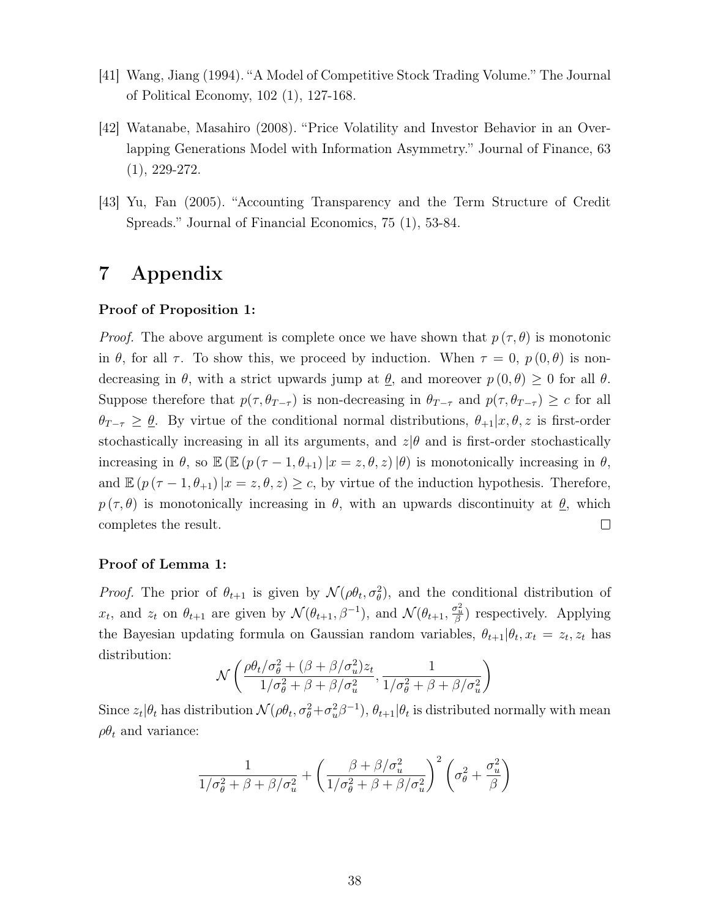- [41] Wang, Jiang (1994). "A Model of Competitive Stock Trading Volume." The Journal of Political Economy, 102 (1), 127-168.
- [42] Watanabe, Masahiro (2008). "Price Volatility and Investor Behavior in an Overlapping Generations Model with Information Asymmetry." Journal of Finance, 63 (1), 229-272.
- [43] Yu, Fan (2005). "Accounting Transparency and the Term Structure of Credit Spreads." Journal of Financial Economics, 75 (1), 53-84.

# 7 Appendix

### Proof of Proposition 1:

*Proof.* The above argument is complete once we have shown that  $p(\tau, \theta)$  is monotonic in  $\theta$ , for all  $\tau$ . To show this, we proceed by induction. When  $\tau = 0$ ,  $p(0, \theta)$  is nondecreasing in  $\theta$ , with a strict upwards jump at  $\underline{\theta}$ , and moreover  $p(0,\theta) \geq 0$  for all  $\theta$ . Suppose therefore that  $p(\tau, \theta_{T-\tau})$  is non-decreasing in  $\theta_{T-\tau}$  and  $p(\tau, \theta_{T-\tau}) \geq c$  for all  $\theta_{T-\tau} \geq \theta$ . By virtue of the conditional normal distributions,  $\theta_{+1}|x,\theta,z$  is first-order stochastically increasing in all its arguments, and  $z|\theta$  and is first-order stochastically increasing in  $\theta$ , so  $\mathbb{E} (\mathbb{E} (p(\tau-1,\theta_{+1})|x=z,\theta,z)|\theta)$  is monotonically increasing in  $\theta$ , and  $\mathbb{E} (p(\tau - 1, \theta_{+1}) | x = z, \theta, z) \geq c$ , by virtue of the induction hypothesis. Therefore,  $p(\tau, \theta)$  is monotonically increasing in  $\theta$ , with an upwards discontinuity at  $\theta$ , which completes the result.  $\Box$ 

#### Proof of Lemma 1:

*Proof.* The prior of  $\theta_{t+1}$  is given by  $\mathcal{N}(\rho \theta_t, \sigma_\theta^2)$ , and the conditional distribution of  $x_t$ , and  $z_t$  on  $\theta_{t+1}$  are given by  $\mathcal{N}(\theta_{t+1}, \beta^{-1})$ , and  $\mathcal{N}(\theta_{t+1}, \frac{\sigma_u^2}{\beta})$  respectively. Applying the Bayesian updating formula on Gaussian random variables,  $\theta_{t+1} | \theta_t, x_t = z_t, z_t$  has distribution:

$$
\mathcal{N}\left(\frac{\rho\theta_t/\sigma_{\theta}^2 + (\beta + \beta/\sigma_u^2)z_t}{1/\sigma_{\theta}^2 + \beta + \beta/\sigma_u^2}, \frac{1}{1/\sigma_{\theta}^2 + \beta + \beta/\sigma_u^2}\right)
$$

Since  $z_t|\theta_t$  has distribution  $\mathcal{N}(\rho\theta_t, \sigma_\theta^2+\sigma_u^2\beta^{-1}), \theta_{t+1}|\theta_t$  is distributed normally with mean  $\rho \theta_t$  and variance:

$$
\frac{1}{1/\sigma_{\theta}^2 + \beta + \beta/\sigma_u^2} + \left(\frac{\beta + \beta/\sigma_u^2}{1/\sigma_{\theta}^2 + \beta + \beta/\sigma_u^2}\right)^2 \left(\sigma_{\theta}^2 + \frac{\sigma_u^2}{\beta}\right)
$$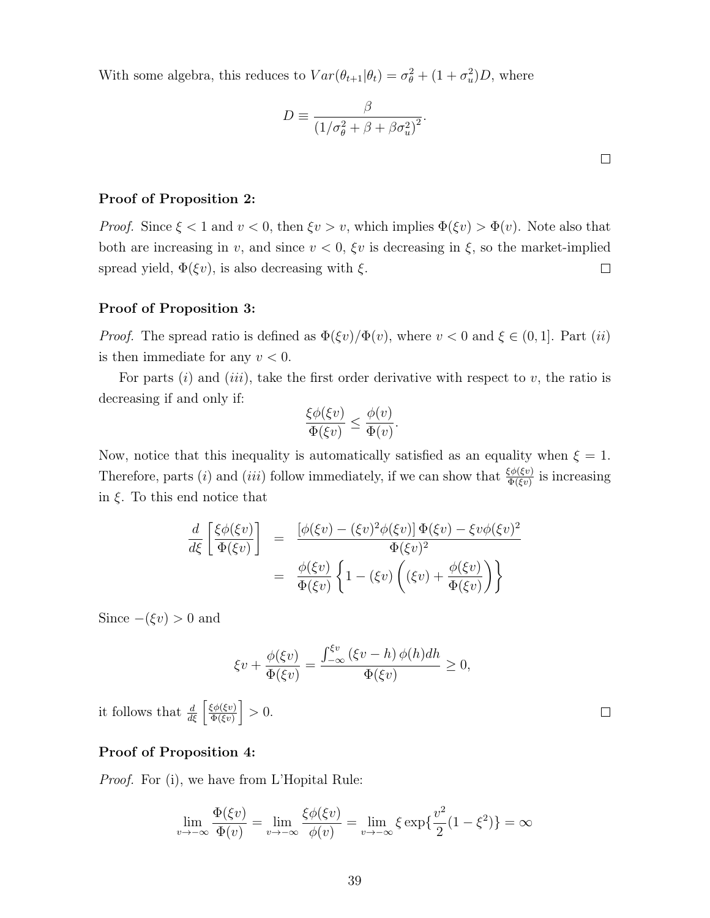With some algebra, this reduces to  $Var(\theta_{t+1}|\theta_t) = \sigma_{\theta}^2 + (1 + \sigma_u^2)D$ , where

$$
D \equiv \frac{\beta}{\left(1/\sigma_{\theta}^{2} + \beta + \beta \sigma_{u}^{2}\right)^{2}}.
$$

 $\Box$ 

 $\Box$ 

### Proof of Proposition 2:

*Proof.* Since  $\xi < 1$  and  $v < 0$ , then  $\xi v > v$ , which implies  $\Phi(\xi v) > \Phi(v)$ . Note also that both are increasing in v, and since  $v < 0$ ,  $\xi v$  is decreasing in  $\xi$ , so the market-implied spread yield,  $\Phi(\xi v)$ , is also decreasing with  $\xi$ .  $\Box$ 

### Proof of Proposition 3:

*Proof.* The spread ratio is defined as  $\Phi(\xi v)/\Phi(v)$ , where  $v < 0$  and  $\xi \in (0, 1]$ . Part (ii) is then immediate for any  $v < 0$ .

For parts  $(i)$  and  $(iii)$ , take the first order derivative with respect to v, the ratio is decreasing if and only if:

$$
\frac{\xi \phi(\xi v)}{\Phi(\xi v)} \le \frac{\phi(v)}{\Phi(v)}.
$$

Now, notice that this inequality is automatically satisfied as an equality when  $\xi = 1$ . Therefore, parts (*i*) and (*iii*) follow immediately, if we can show that  $\frac{\xi \phi(\xi v)}{\Phi(\xi v)}$  is increasing in  $\xi$ . To this end notice that

$$
\frac{d}{d\xi} \left[ \frac{\xi \phi(\xi v)}{\Phi(\xi v)} \right] = \frac{\left[ \phi(\xi v) - (\xi v)^2 \phi(\xi v) \right] \Phi(\xi v) - \xi v \phi(\xi v)^2}{\Phi(\xi v)^2}
$$
\n
$$
= \frac{\phi(\xi v)}{\Phi(\xi v)} \left\{ 1 - (\xi v) \left( (\xi v) + \frac{\phi(\xi v)}{\Phi(\xi v)} \right) \right\}
$$

Since  $-(\xi v) > 0$  and

$$
\xi v + \frac{\phi(\xi v)}{\Phi(\xi v)} = \frac{\int_{-\infty}^{\xi v} (\xi v - h) \phi(h) dh}{\Phi(\xi v)} \ge 0,
$$

it follows that  $\frac{d}{d\xi} \left[ \frac{\xi \phi(\xi v)}{\Phi(\xi v)} \right]$  $\frac{\xi \phi(\xi v)}{\Phi(\xi v)}$  > 0.

### Proof of Proposition 4:

Proof. For (i), we have from L'Hopital Rule:

$$
\lim_{v \to -\infty} \frac{\Phi(\xi v)}{\Phi(v)} = \lim_{v \to -\infty} \frac{\xi \phi(\xi v)}{\phi(v)} = \lim_{v \to -\infty} \xi \exp\{\frac{v^2}{2}(1 - \xi^2)\} = \infty
$$